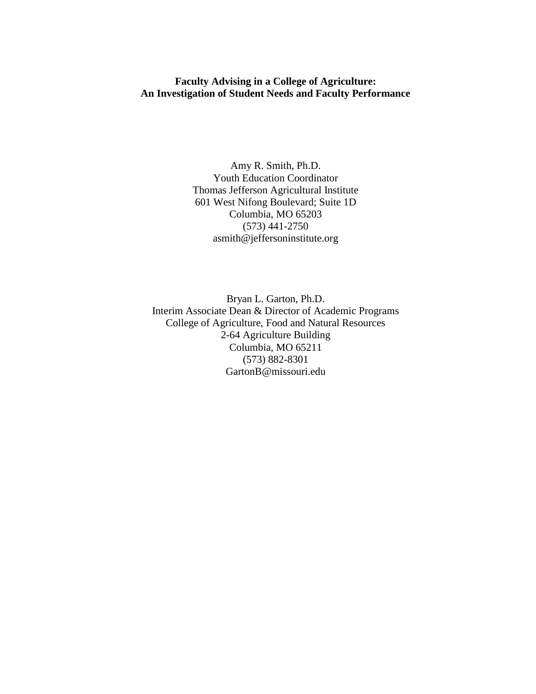### **Faculty Advising in a College of Agriculture: An Investigation of Student Needs and Faculty Performance**

Amy R. Smith, Ph.D. Youth Education Coordinator Thomas Jefferson Agricultural Institute 601 West Nifong Boulevard; Suite 1D Columbia, MO 65203 (573) 441-2750 asmith@jeffersoninstitute.org

Bryan L. Garton, Ph.D. Interim Associate Dean & Director of Academic Programs College of Agriculture, Food and Natural Resources 2-64 Agriculture Building Columbia, MO 65211 (573) 882-8301 GartonB@missouri.edu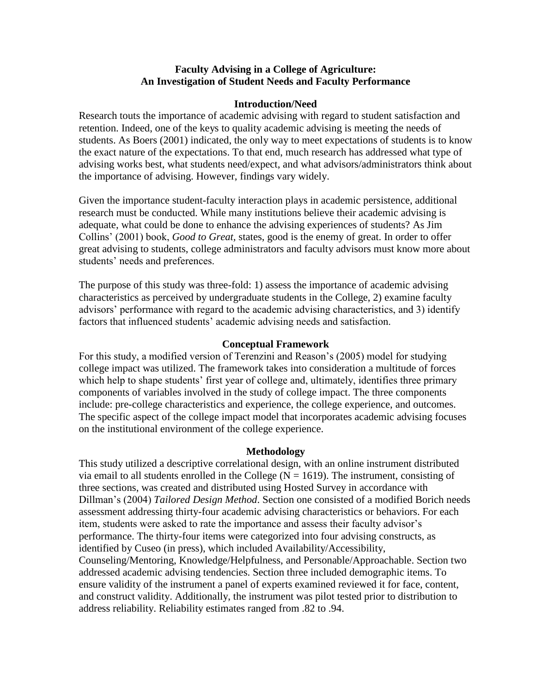### **Faculty Advising in a College of Agriculture: An Investigation of Student Needs and Faculty Performance**

#### **Introduction/Need**

Research touts the importance of academic advising with regard to student satisfaction and retention. Indeed, one of the keys to quality academic advising is meeting the needs of students. As Boers (2001) indicated, the only way to meet expectations of students is to know the exact nature of the expectations. To that end, much research has addressed what type of advising works best, what students need/expect, and what advisors/administrators think about the importance of advising. However, findings vary widely.

Given the importance student-faculty interaction plays in academic persistence, additional research must be conducted. While many institutions believe their academic advising is adequate, what could be done to enhance the advising experiences of students? As Jim Collins' (2001) book, *Good to Great,* states, good is the enemy of great. In order to offer great advising to students, college administrators and faculty advisors must know more about students' needs and preferences.

The purpose of this study was three-fold: 1) assess the importance of academic advising characteristics as perceived by undergraduate students in the College, 2) examine faculty advisors' performance with regard to the academic advising characteristics, and 3) identify factors that influenced students' academic advising needs and satisfaction.

### **Conceptual Framework**

For this study, a modified version of Terenzini and Reason's (2005) model for studying college impact was utilized. The framework takes into consideration a multitude of forces which help to shape students' first year of college and, ultimately, identifies three primary components of variables involved in the study of college impact. The three components include: pre-college characteristics and experience, the college experience, and outcomes. The specific aspect of the college impact model that incorporates academic advising focuses on the institutional environment of the college experience.

#### **Methodology**

This study utilized a descriptive correlational design, with an online instrument distributed via email to all students enrolled in the College ( $N = 1619$ ). The instrument, consisting of three sections, was created and distributed using Hosted Survey in accordance with Dillman's (2004) *Tailored Design Method*. Section one consisted of a modified Borich needs assessment addressing thirty-four academic advising characteristics or behaviors. For each item, students were asked to rate the importance and assess their faculty advisor's performance. The thirty-four items were categorized into four advising constructs, as identified by Cuseo (in press), which included Availability/Accessibility, Counseling/Mentoring, Knowledge/Helpfulness, and Personable/Approachable. Section two addressed academic advising tendencies. Section three included demographic items. To ensure validity of the instrument a panel of experts examined reviewed it for face, content, and construct validity. Additionally, the instrument was pilot tested prior to distribution to address reliability. Reliability estimates ranged from .82 to .94.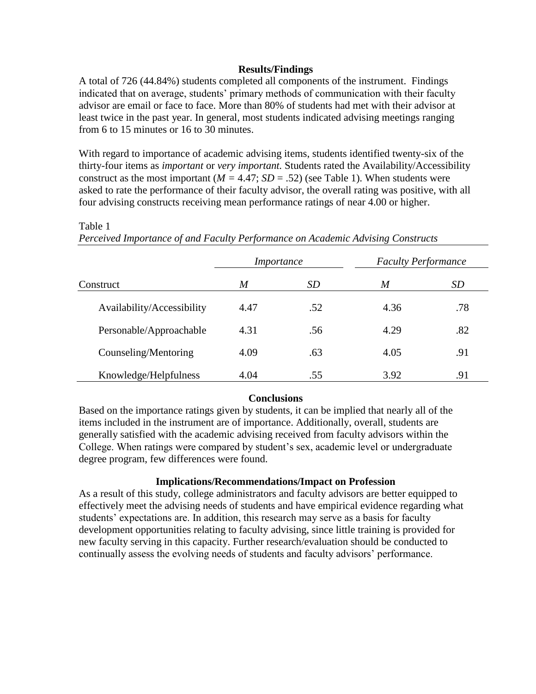## **Results/Findings**

A total of 726 (44.84%) students completed all components of the instrument. Findings indicated that on average, students' primary methods of communication with their faculty advisor are email or face to face. More than 80% of students had met with their advisor at least twice in the past year. In general, most students indicated advising meetings ranging from 6 to 15 minutes or 16 to 30 minutes.

With regard to importance of academic advising items, students identified twenty-six of the thirty-four items as *important* or *very important.* Students rated the Availability/Accessibility construct as the most important  $(M = 4.47; SD = .52)$  (see Table 1). When students were asked to rate the performance of their faculty advisor, the overall rating was positive, with all four advising constructs receiving mean performance ratings of near 4.00 or higher.

|                            | <i>Importance</i> |           | <b>Faculty Performance</b> |     |
|----------------------------|-------------------|-----------|----------------------------|-----|
| Construct                  | M                 | <i>SD</i> | M                          | SD  |
| Availability/Accessibility | 4.47              | .52       | 4.36                       | .78 |
| Personable/Approachable    | 4.31              | .56       | 4.29                       | .82 |
| Counseling/Mentoring       | 4.09              | .63       | 4.05                       | .91 |
| Knowledge/Helpfulness      | 4.04              | .55       | 3.92                       | .91 |

### Table 1

*Perceived Importance of and Faculty Performance on Academic Advising Constructs* 

### **Conclusions**

Based on the importance ratings given by students, it can be implied that nearly all of the items included in the instrument are of importance. Additionally, overall, students are generally satisfied with the academic advising received from faculty advisors within the College. When ratings were compared by student's sex, academic level or undergraduate degree program, few differences were found.

### **Implications/Recommendations/Impact on Profession**

As a result of this study, college administrators and faculty advisors are better equipped to effectively meet the advising needs of students and have empirical evidence regarding what students' expectations are. In addition, this research may serve as a basis for faculty development opportunities relating to faculty advising, since little training is provided for new faculty serving in this capacity. Further research/evaluation should be conducted to continually assess the evolving needs of students and faculty advisors' performance.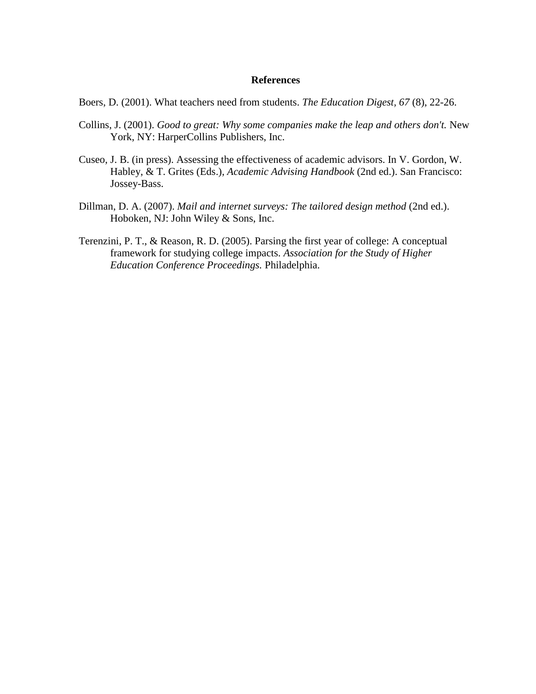Boers, D. (2001). What teachers need from students. *The Education Digest, 67* (8), 22-26.

- Collins, J. (2001). *Good to great: Why some companies make the leap and others don't.* New York, NY: HarperCollins Publishers, Inc.
- Cuseo, J. B. (in press). Assessing the effectiveness of academic advisors. In V. Gordon, W. Habley, & T. Grites (Eds.), *Academic Advising Handbook* (2nd ed.). San Francisco: Jossey-Bass.
- Dillman, D. A. (2007). *Mail and internet surveys: The tailored design method* (2nd ed.). Hoboken, NJ: John Wiley & Sons, Inc.
- Terenzini, P. T., & Reason, R. D. (2005). Parsing the first year of college: A conceptual framework for studying college impacts. *Association for the Study of Higher Education Conference Proceedings.* Philadelphia.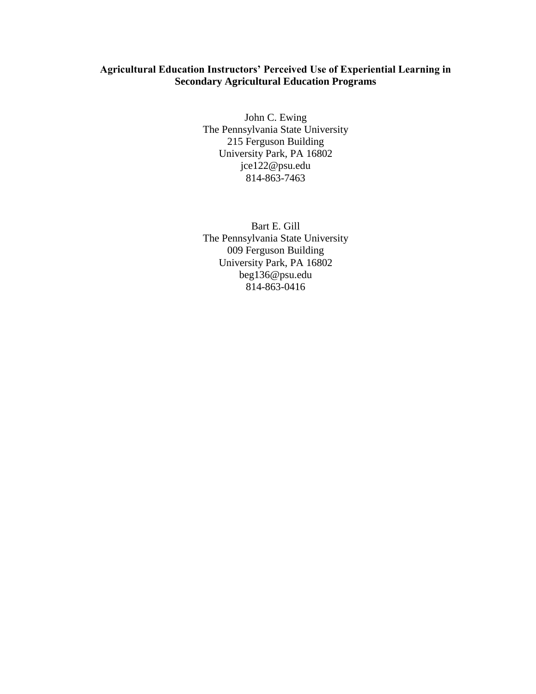## **Agricultural Education Instructors' Perceived Use of Experiential Learning in Secondary Agricultural Education Programs**

John C. Ewing The Pennsylvania State University 215 Ferguson Building University Park, PA 16802 jce122@psu.edu 814-863-7463

Bart E. Gill The Pennsylvania State University 009 Ferguson Building University Park, PA 16802 beg136@psu.edu 814-863-0416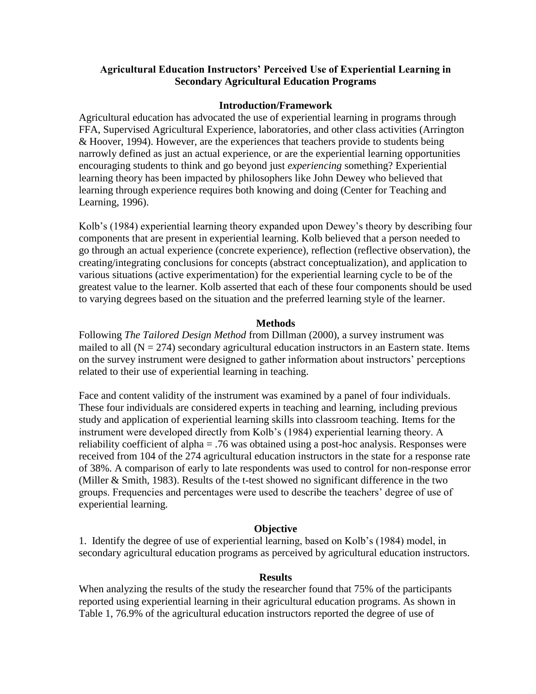## **Agricultural Education Instructors' Perceived Use of Experiential Learning in Secondary Agricultural Education Programs**

### **Introduction/Framework**

Agricultural education has advocated the use of experiential learning in programs through FFA, Supervised Agricultural Experience, laboratories, and other class activities (Arrington & Hoover, 1994). However, are the experiences that teachers provide to students being narrowly defined as just an actual experience, or are the experiential learning opportunities encouraging students to think and go beyond just *experiencing* something? Experiential learning theory has been impacted by philosophers like John Dewey who believed that learning through experience requires both knowing and doing (Center for Teaching and Learning, 1996).

Kolb's (1984) experiential learning theory expanded upon Dewey's theory by describing four components that are present in experiential learning. Kolb believed that a person needed to go through an actual experience (concrete experience), reflection (reflective observation), the creating/integrating conclusions for concepts (abstract conceptualization), and application to various situations (active experimentation) for the experiential learning cycle to be of the greatest value to the learner. Kolb asserted that each of these four components should be used to varying degrees based on the situation and the preferred learning style of the learner.

### **Methods**

Following *The Tailored Design Method* from Dillman (2000), a survey instrument was mailed to all  $(N = 274)$  secondary agricultural education instructors in an Eastern state. Items on the survey instrument were designed to gather information about instructors' perceptions related to their use of experiential learning in teaching.

Face and content validity of the instrument was examined by a panel of four individuals. These four individuals are considered experts in teaching and learning, including previous study and application of experiential learning skills into classroom teaching. Items for the instrument were developed directly from Kolb's (1984) experiential learning theory. A reliability coefficient of alpha = .76 was obtained using a post-hoc analysis. Responses were received from 104 of the 274 agricultural education instructors in the state for a response rate of 38%. A comparison of early to late respondents was used to control for non-response error (Miller & Smith, 1983). Results of the t-test showed no significant difference in the two groups. Frequencies and percentages were used to describe the teachers' degree of use of experiential learning.

### **Objective**

1. Identify the degree of use of experiential learning, based on Kolb's (1984) model, in secondary agricultural education programs as perceived by agricultural education instructors.

#### **Results**

When analyzing the results of the study the researcher found that 75% of the participants reported using experiential learning in their agricultural education programs. As shown in Table 1, 76.9% of the agricultural education instructors reported the degree of use of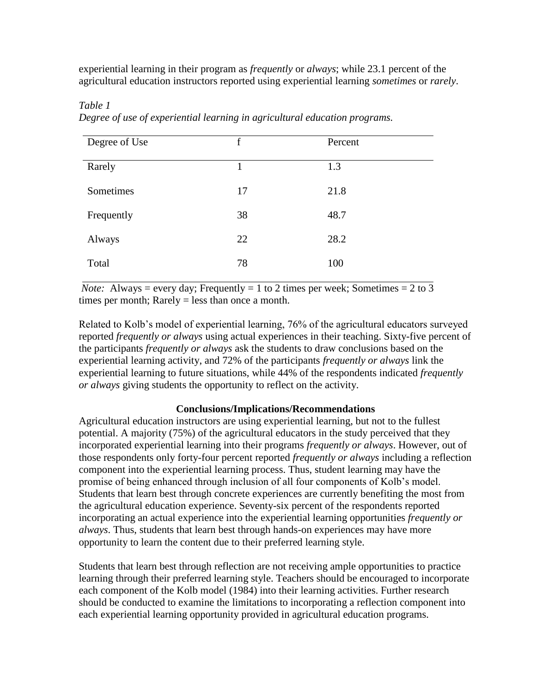experiential learning in their program as *frequently* or *always*; while 23.1 percent of the agricultural education instructors reported using experiential learning *sometimes* or *rarely*.

| Degree of Use | $\mathbf f$ | Percent |
|---------------|-------------|---------|
| Rarely        | 1           | 1.3     |
| Sometimes     | 17          | 21.8    |
| Frequently    | 38          | 48.7    |
| Always        | 22          | 28.2    |
| Total         | 78          | 100     |

*Table 1 Degree of use of experiential learning in agricultural education programs.*

*Note:* Always = every day; Frequently = 1 to 2 times per week; Sometimes = 2 to 3 times per month; Rarely = less than once a month.

Related to Kolb's model of experiential learning, 76% of the agricultural educators surveyed reported *frequently or always* using actual experiences in their teaching. Sixty-five percent of the participants *frequently or always* ask the students to draw conclusions based on the experiential learning activity, and 72% of the participants *frequently or always* link the experiential learning to future situations, while 44% of the respondents indicated *frequently or always* giving students the opportunity to reflect on the activity.

### **Conclusions/Implications/Recommendations**

Agricultural education instructors are using experiential learning, but not to the fullest potential. A majority (75%) of the agricultural educators in the study perceived that they incorporated experiential learning into their programs *frequently or always*. However, out of those respondents only forty-four percent reported *frequently or always* including a reflection component into the experiential learning process. Thus, student learning may have the promise of being enhanced through inclusion of all four components of Kolb's model. Students that learn best through concrete experiences are currently benefiting the most from the agricultural education experience. Seventy-six percent of the respondents reported incorporating an actual experience into the experiential learning opportunities *frequently or always*. Thus, students that learn best through hands-on experiences may have more opportunity to learn the content due to their preferred learning style.

Students that learn best through reflection are not receiving ample opportunities to practice learning through their preferred learning style. Teachers should be encouraged to incorporate each component of the Kolb model (1984) into their learning activities. Further research should be conducted to examine the limitations to incorporating a reflection component into each experiential learning opportunity provided in agricultural education programs.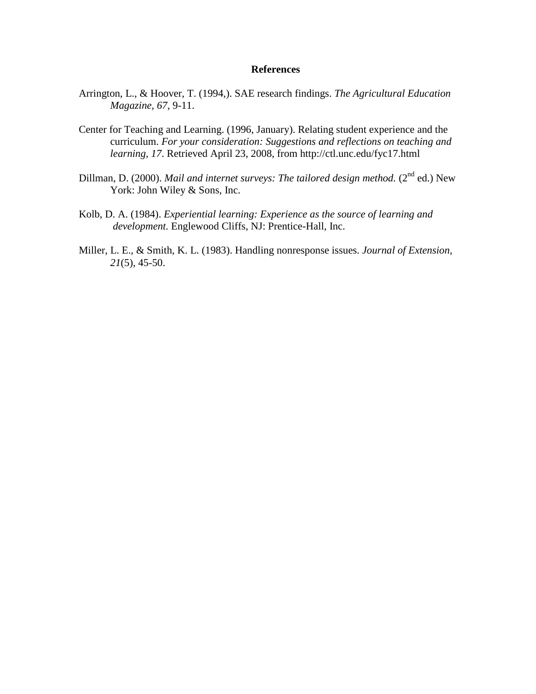- Arrington, L., & Hoover, T. (1994,). SAE research findings. *The Agricultural Education Magazine, 67*, 9-11.
- Center for Teaching and Learning. (1996, January). Relating student experience and the curriculum. *For your consideration: Suggestions and reflections on teaching and learning, 17*. Retrieved April 23, 2008, from http://ctl.unc.edu/fyc17.html
- Dillman, D. (2000). *Mail and internet surveys: The tailored design method.* (2<sup>nd</sup> ed.) New York: John Wiley & Sons, Inc.
- Kolb, D. A. (1984). *Experiential learning: Experience as the source of learning and development.* Englewood Cliffs, NJ: Prentice-Hall, Inc.
- Miller, L. E., & Smith, K. L. (1983). Handling nonresponse issues. *Journal of Extension, 21*(5), 45-50.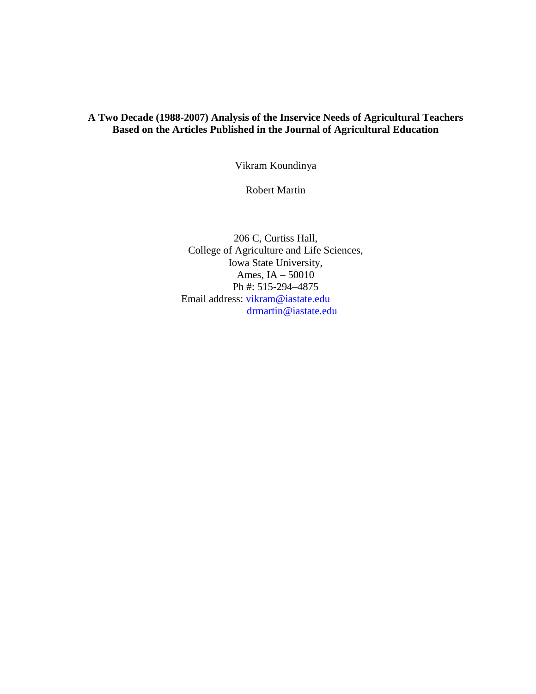# **A Two Decade (1988-2007) Analysis of the Inservice Needs of Agricultural Teachers Based on the Articles Published in the Journal of Agricultural Education**

Vikram Koundinya

Robert Martin

206 C, Curtiss Hall, College of Agriculture and Life Sciences, Iowa State University, Ames, IA – 50010 Ph #: 515-294–4875 Email address: [vikram@iastate.edu](mailto:vikram@iastate.edu) [drmartin@iastate.edu](mailto:drmartin@iastate.edu)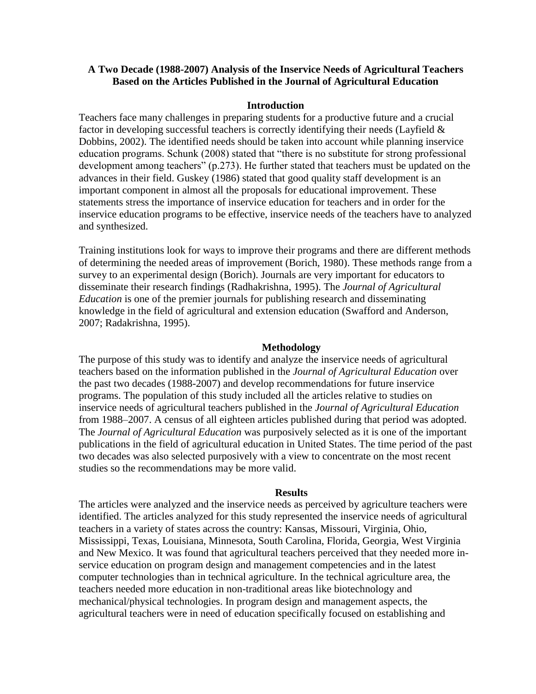### **A Two Decade (1988-2007) Analysis of the Inservice Needs of Agricultural Teachers Based on the Articles Published in the Journal of Agricultural Education**

#### **Introduction**

Teachers face many challenges in preparing students for a productive future and a crucial factor in developing successful teachers is correctly identifying their needs (Layfield & Dobbins, 2002). The identified needs should be taken into account while planning inservice education programs. Schunk (2008) stated that "there is no substitute for strong professional development among teachers" (p.273). He further stated that teachers must be updated on the advances in their field. Guskey (1986) stated that good quality staff development is an important component in almost all the proposals for educational improvement. These statements stress the importance of inservice education for teachers and in order for the inservice education programs to be effective, inservice needs of the teachers have to analyzed and synthesized.

Training institutions look for ways to improve their programs and there are different methods of determining the needed areas of improvement (Borich, 1980). These methods range from a survey to an experimental design (Borich). Journals are very important for educators to disseminate their research findings (Radhakrishna, 1995). The *Journal of Agricultural Education* is one of the premier journals for publishing research and disseminating knowledge in the field of agricultural and extension education (Swafford and Anderson, 2007; Radakrishna, 1995).

#### **Methodology**

The purpose of this study was to identify and analyze the inservice needs of agricultural teachers based on the information published in the *Journal of Agricultural Education* over the past two decades (1988-2007) and develop recommendations for future inservice programs. The population of this study included all the articles relative to studies on inservice needs of agricultural teachers published in the *Journal of Agricultural Education* from 1988–2007. A census of all eighteen articles published during that period was adopted. The *Journal of Agricultural Education* was purposively selected as it is one of the important publications in the field of agricultural education in United States. The time period of the past two decades was also selected purposively with a view to concentrate on the most recent studies so the recommendations may be more valid.

#### **Results**

The articles were analyzed and the inservice needs as perceived by agriculture teachers were identified. The articles analyzed for this study represented the inservice needs of agricultural teachers in a variety of states across the country: Kansas, Missouri, Virginia, Ohio, Mississippi, Texas, Louisiana, Minnesota, South Carolina, Florida, Georgia, West Virginia and New Mexico. It was found that agricultural teachers perceived that they needed more inservice education on program design and management competencies and in the latest computer technologies than in technical agriculture. In the technical agriculture area, the teachers needed more education in non-traditional areas like biotechnology and mechanical/physical technologies. In program design and management aspects, the agricultural teachers were in need of education specifically focused on establishing and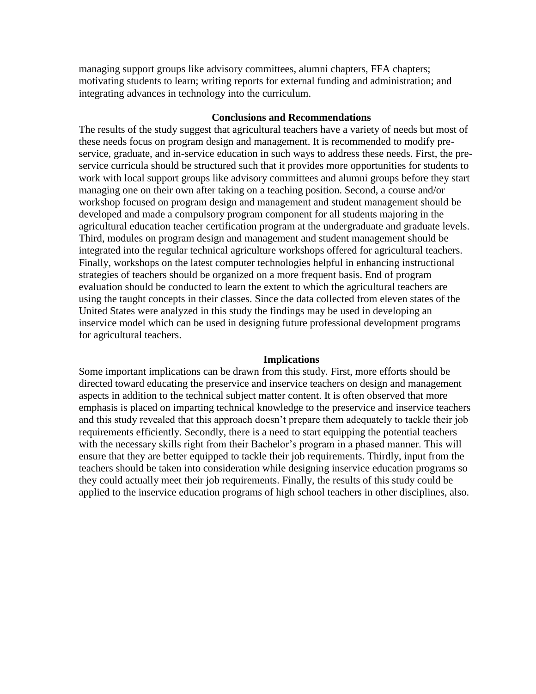managing support groups like advisory committees, alumni chapters, FFA chapters; motivating students to learn; writing reports for external funding and administration; and integrating advances in technology into the curriculum.

#### **Conclusions and Recommendations**

The results of the study suggest that agricultural teachers have a variety of needs but most of these needs focus on program design and management. It is recommended to modify preservice, graduate, and in-service education in such ways to address these needs. First, the preservice curricula should be structured such that it provides more opportunities for students to work with local support groups like advisory committees and alumni groups before they start managing one on their own after taking on a teaching position. Second, a course and/or workshop focused on program design and management and student management should be developed and made a compulsory program component for all students majoring in the agricultural education teacher certification program at the undergraduate and graduate levels. Third, modules on program design and management and student management should be integrated into the regular technical agriculture workshops offered for agricultural teachers. Finally, workshops on the latest computer technologies helpful in enhancing instructional strategies of teachers should be organized on a more frequent basis. End of program evaluation should be conducted to learn the extent to which the agricultural teachers are using the taught concepts in their classes. Since the data collected from eleven states of the United States were analyzed in this study the findings may be used in developing an inservice model which can be used in designing future professional development programs for agricultural teachers.

#### **Implications**

Some important implications can be drawn from this study. First, more efforts should be directed toward educating the preservice and inservice teachers on design and management aspects in addition to the technical subject matter content. It is often observed that more emphasis is placed on imparting technical knowledge to the preservice and inservice teachers and this study revealed that this approach doesn't prepare them adequately to tackle their job requirements efficiently. Secondly, there is a need to start equipping the potential teachers with the necessary skills right from their Bachelor's program in a phased manner. This will ensure that they are better equipped to tackle their job requirements. Thirdly, input from the teachers should be taken into consideration while designing inservice education programs so they could actually meet their job requirements. Finally, the results of this study could be applied to the inservice education programs of high school teachers in other disciplines, also.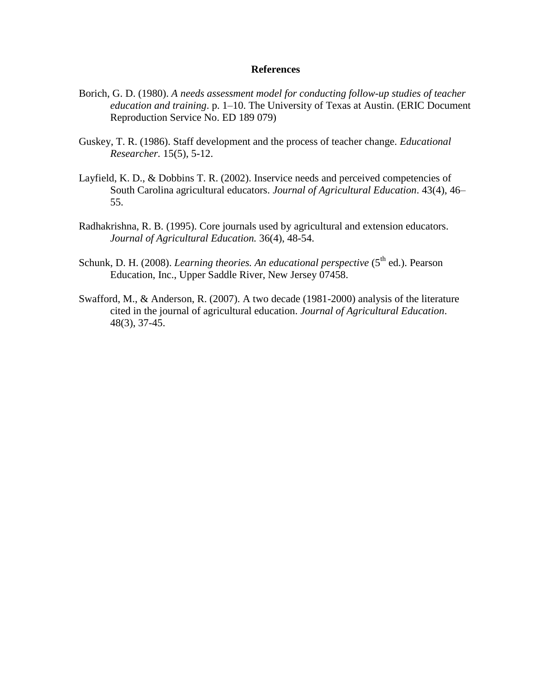- Borich, G. D. (1980). *A needs assessment model for conducting follow-up studies of teacher education and training*. p. 1–10. The University of Texas at Austin. (ERIC Document Reproduction Service No. ED 189 079)
- Guskey, T. R. (1986). Staff development and the process of teacher change. *Educational Researcher.* 15(5), 5-12.
- Layfield, K. D., & Dobbins T. R. (2002). Inservice needs and perceived competencies of South Carolina agricultural educators. *Journal of Agricultural Education*. 43(4), 46– 55.
- Radhakrishna, R. B. (1995). Core journals used by agricultural and extension educators. *Journal of Agricultural Education.* 36(4), 48-54.
- Schunk, D. H. (2008). *Learning theories. An educational perspective* (5<sup>th</sup> ed.). Pearson Education, Inc., Upper Saddle River, New Jersey 07458.
- Swafford, M., & Anderson, R. (2007). A two decade (1981-2000) analysis of the literature cited in the journal of agricultural education. *Journal of Agricultural Education*. 48(3), 37-45.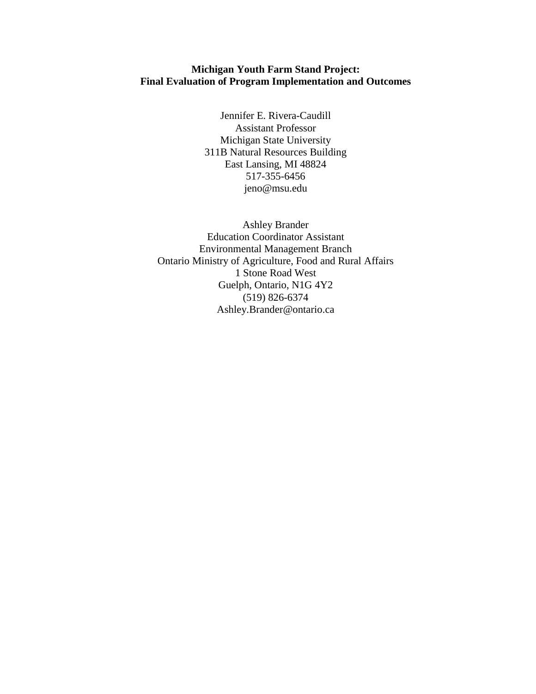## **Michigan Youth Farm Stand Project: Final Evaluation of Program Implementation and Outcomes**

Jennifer E. Rivera-Caudill Assistant Professor Michigan State University 311B Natural Resources Building East Lansing, MI 48824 517-355-6456 jeno@msu.edu

Ashley Brander Education Coordinator Assistant Environmental Management Branch Ontario Ministry of Agriculture, Food and Rural Affairs 1 Stone Road West Guelph, Ontario, N1G 4Y2 (519) 826-6374 Ashley.Brander@ontario.ca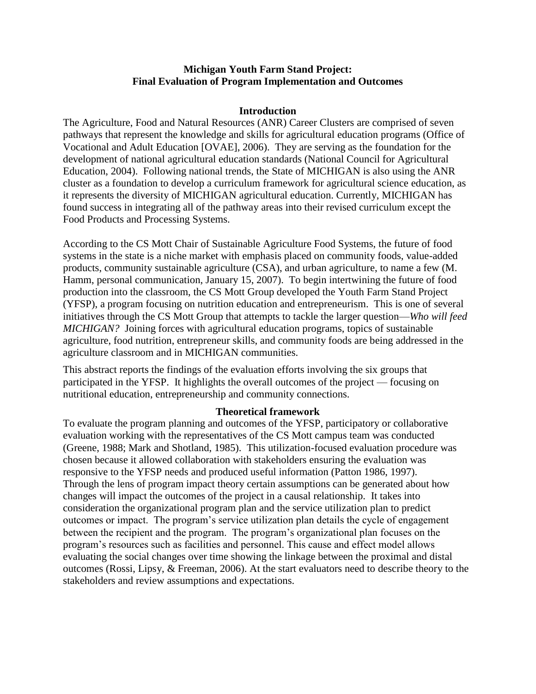### **Michigan Youth Farm Stand Project: Final Evaluation of Program Implementation and Outcomes**

### **Introduction**

The Agriculture, Food and Natural Resources (ANR) Career Clusters are comprised of seven pathways that represent the knowledge and skills for agricultural education programs (Office of Vocational and Adult Education [OVAE], 2006). They are serving as the foundation for the development of national agricultural education standards (National Council for Agricultural Education, 2004). Following national trends, the State of MICHIGAN is also using the ANR cluster as a foundation to develop a curriculum framework for agricultural science education, as it represents the diversity of MICHIGAN agricultural education. Currently, MICHIGAN has found success in integrating all of the pathway areas into their revised curriculum except the Food Products and Processing Systems.

According to the CS Mott Chair of Sustainable Agriculture Food Systems, the future of food systems in the state is a niche market with emphasis placed on community foods, value-added products, community sustainable agriculture (CSA), and urban agriculture, to name a few (M. Hamm, personal communication, January 15, 2007). To begin intertwining the future of food production into the classroom, the CS Mott Group developed the Youth Farm Stand Project (YFSP), a program focusing on nutrition education and entrepreneurism. This is one of several initiatives through the CS Mott Group that attempts to tackle the larger question—*Who will feed MICHIGAN?* Joining forces with agricultural education programs, topics of sustainable agriculture, food nutrition, entrepreneur skills, and community foods are being addressed in the agriculture classroom and in MICHIGAN communities.

This abstract reports the findings of the evaluation efforts involving the six groups that participated in the YFSP. It highlights the overall outcomes of the project — focusing on nutritional education, entrepreneurship and community connections.

#### **Theoretical framework**

To evaluate the program planning and outcomes of the YFSP, participatory or collaborative evaluation working with the representatives of the CS Mott campus team was conducted (Greene, 1988; Mark and Shotland, 1985). This utilization-focused evaluation procedure was chosen because it allowed collaboration with stakeholders ensuring the evaluation was responsive to the YFSP needs and produced useful information (Patton 1986, 1997). Through the lens of program impact theory certain assumptions can be generated about how changes will impact the outcomes of the project in a causal relationship. It takes into consideration the organizational program plan and the service utilization plan to predict outcomes or impact. The program's service utilization plan details the cycle of engagement between the recipient and the program. The program's organizational plan focuses on the program's resources such as facilities and personnel. This cause and effect model allows evaluating the social changes over time showing the linkage between the proximal and distal outcomes (Rossi, Lipsy, & Freeman, 2006). At the start evaluators need to describe theory to the stakeholders and review assumptions and expectations.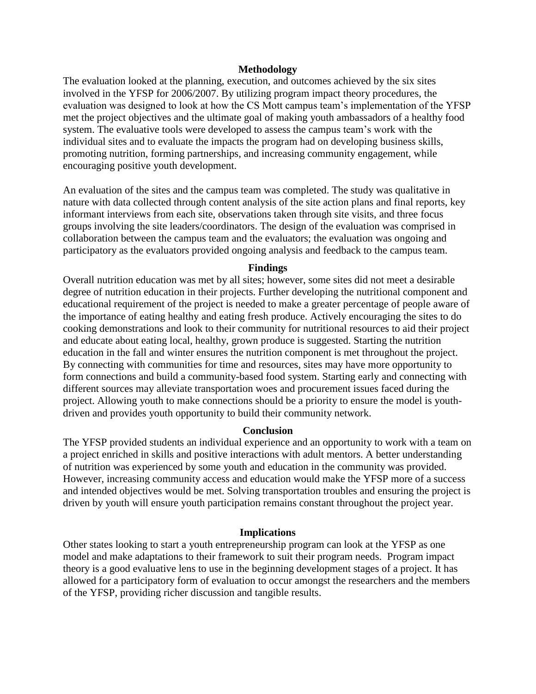#### **Methodology**

The evaluation looked at the planning, execution, and outcomes achieved by the six sites involved in the YFSP for 2006/2007. By utilizing program impact theory procedures, the evaluation was designed to look at how the CS Mott campus team's implementation of the YFSP met the project objectives and the ultimate goal of making youth ambassadors of a healthy food system. The evaluative tools were developed to assess the campus team's work with the individual sites and to evaluate the impacts the program had on developing business skills, promoting nutrition, forming partnerships, and increasing community engagement, while encouraging positive youth development.

An evaluation of the sites and the campus team was completed. The study was qualitative in nature with data collected through content analysis of the site action plans and final reports, key informant interviews from each site, observations taken through site visits, and three focus groups involving the site leaders/coordinators. The design of the evaluation was comprised in collaboration between the campus team and the evaluators; the evaluation was ongoing and participatory as the evaluators provided ongoing analysis and feedback to the campus team.

#### **Findings**

Overall nutrition education was met by all sites; however, some sites did not meet a desirable degree of nutrition education in their projects. Further developing the nutritional component and educational requirement of the project is needed to make a greater percentage of people aware of the importance of eating healthy and eating fresh produce. Actively encouraging the sites to do cooking demonstrations and look to their community for nutritional resources to aid their project and educate about eating local, healthy, grown produce is suggested. Starting the nutrition education in the fall and winter ensures the nutrition component is met throughout the project. By connecting with communities for time and resources, sites may have more opportunity to form connections and build a community-based food system. Starting early and connecting with different sources may alleviate transportation woes and procurement issues faced during the project. Allowing youth to make connections should be a priority to ensure the model is youthdriven and provides youth opportunity to build their community network.

#### **Conclusion**

The YFSP provided students an individual experience and an opportunity to work with a team on a project enriched in skills and positive interactions with adult mentors. A better understanding of nutrition was experienced by some youth and education in the community was provided. However, increasing community access and education would make the YFSP more of a success and intended objectives would be met. Solving transportation troubles and ensuring the project is driven by youth will ensure youth participation remains constant throughout the project year.

#### **Implications**

Other states looking to start a youth entrepreneurship program can look at the YFSP as one model and make adaptations to their framework to suit their program needs. Program impact theory is a good evaluative lens to use in the beginning development stages of a project. It has allowed for a participatory form of evaluation to occur amongst the researchers and the members of the YFSP, providing richer discussion and tangible results.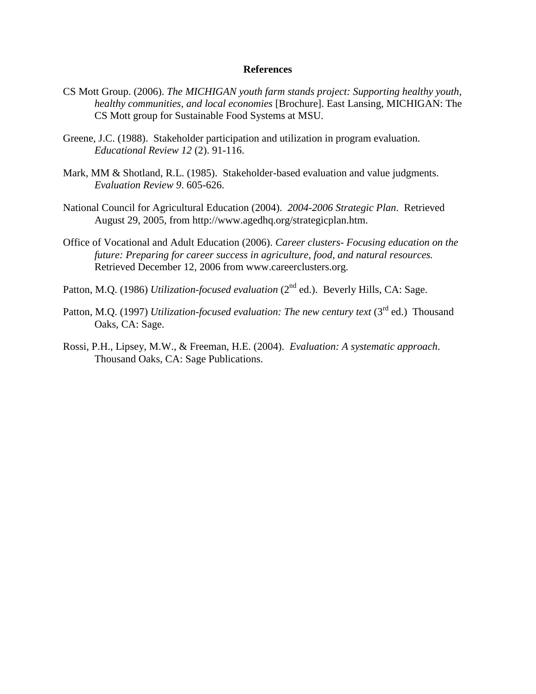- CS Mott Group. (2006). *The MICHIGAN youth farm stands project: Supporting healthy youth, healthy communities, and local economies* [Brochure]. East Lansing, MICHIGAN: The CS Mott group for Sustainable Food Systems at MSU.
- Greene, J.C. (1988). Stakeholder participation and utilization in program evaluation. *Educational Review 12* (2). 91-116.
- Mark, MM & Shotland, R.L. (1985). Stakeholder-based evaluation and value judgments. *Evaluation Review 9*. 605-626.
- National Council for Agricultural Education (2004). *2004-2006 Strategic Plan*. Retrieved August 29, 2005, from http://www.agedhq.org/strategicplan.htm.
- Office of Vocational and Adult Education (2006). *Career clusters- Focusing education on the future: Preparing for career success in agriculture, food, and natural resources.*  Retrieved December 12, 2006 from www.careerclusters.org.
- Patton, M.Q. (1986) *Utilization-focused evaluation* (2<sup>nd</sup> ed.). Beverly Hills, CA: Sage.
- Patton, M.Q. (1997) *Utilization-focused evaluation: The new century text* (3<sup>rd</sup> ed.) Thousand Oaks, CA: Sage.
- Rossi, P.H., Lipsey, M.W., & Freeman, H.E. (2004). *Evaluation: A systematic approach*. Thousand Oaks, CA: Sage Publications.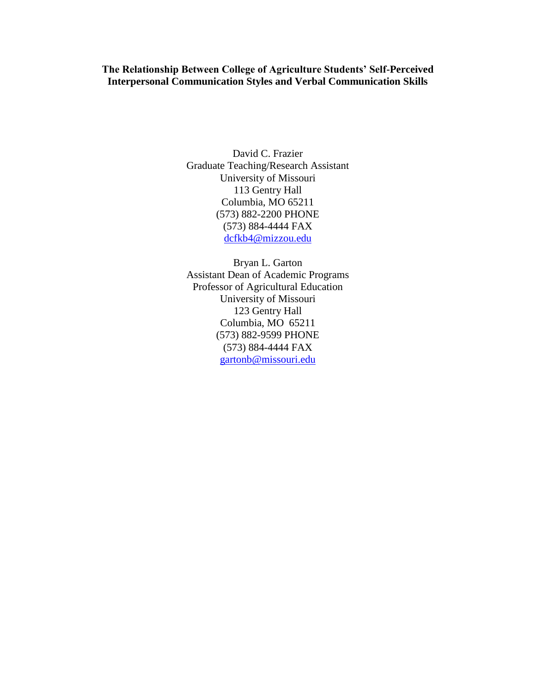**The Relationship Between College of Agriculture Students' Self-Perceived Interpersonal Communication Styles and Verbal Communication Skills**

> David C. Frazier Graduate Teaching/Research Assistant University of Missouri 113 Gentry Hall Columbia, MO 65211 (573) 882-2200 PHONE (573) 884-4444 FAX [dcfkb4@mizzou.edu](mailto:dcfkb4@mizzou.edu)

> Bryan L. Garton Assistant Dean of Academic Programs Professor of Agricultural Education University of Missouri 123 Gentry Hall Columbia, MO 65211 (573) 882-9599 PHONE (573) 884-4444 FAX [gartonb@missouri.edu](mailto:gartonb@missouri.edu)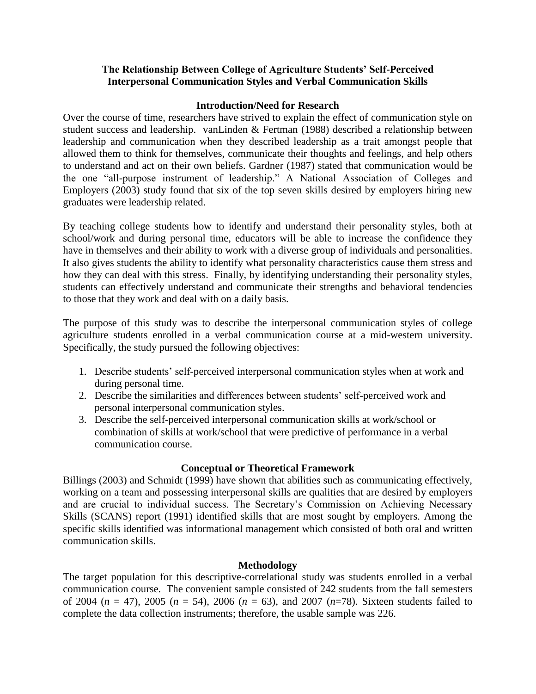## **The Relationship Between College of Agriculture Students' Self-Perceived Interpersonal Communication Styles and Verbal Communication Skills**

## **Introduction/Need for Research**

Over the course of time, researchers have strived to explain the effect of communication style on student success and leadership. vanLinden & Fertman (1988) described a relationship between leadership and communication when they described leadership as a trait amongst people that allowed them to think for themselves, communicate their thoughts and feelings, and help others to understand and act on their own beliefs. Gardner (1987) stated that communication would be the one "all-purpose instrument of leadership." A National Association of Colleges and Employers (2003) study found that six of the top seven skills desired by employers hiring new graduates were leadership related.

By teaching college students how to identify and understand their personality styles, both at school/work and during personal time, educators will be able to increase the confidence they have in themselves and their ability to work with a diverse group of individuals and personalities. It also gives students the ability to identify what personality characteristics cause them stress and how they can deal with this stress. Finally, by identifying understanding their personality styles, students can effectively understand and communicate their strengths and behavioral tendencies to those that they work and deal with on a daily basis.

The purpose of this study was to describe the interpersonal communication styles of college agriculture students enrolled in a verbal communication course at a mid-western university. Specifically, the study pursued the following objectives:

- 1. Describe students' self-perceived interpersonal communication styles when at work and during personal time.
- 2. Describe the similarities and differences between students' self-perceived work and personal interpersonal communication styles.
- 3. Describe the self-perceived interpersonal communication skills at work/school or combination of skills at work/school that were predictive of performance in a verbal communication course.

## **Conceptual or Theoretical Framework**

Billings (2003) and Schmidt (1999) have shown that abilities such as communicating effectively, working on a team and possessing interpersonal skills are qualities that are desired by employers and are crucial to individual success. The Secretary's Commission on Achieving Necessary Skills (SCANS) report (1991) identified skills that are most sought by employers. Among the specific skills identified was informational management which consisted of both oral and written communication skills.

## **Methodology**

The target population for this descriptive-correlational study was students enrolled in a verbal communication course. The convenient sample consisted of 242 students from the fall semesters of 2004 (*n* = 47), 2005 (*n* = 54), 2006 (*n* = 63), and 2007 (*n*=78). Sixteen students failed to complete the data collection instruments; therefore, the usable sample was 226.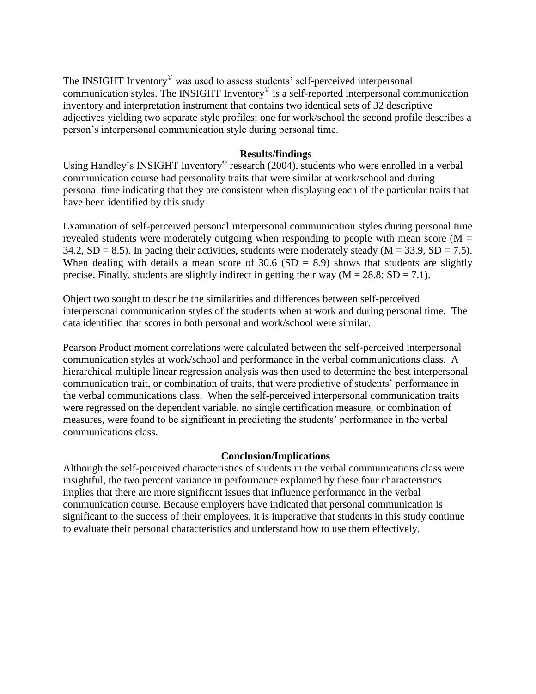The INSIGHT Inventory<sup>®</sup> was used to assess students' self-perceived interpersonal communication styles. The INSIGHT Inventory<sup>©</sup> is a self-reported interpersonal communication inventory and interpretation instrument that contains two identical sets of 32 descriptive adjectives yielding two separate style profiles; one for work/school the second profile describes a person's interpersonal communication style during personal time.

### **Results/findings**

Using Handley's INSIGHT Inventory<sup>©</sup> research (2004), students who were enrolled in a verbal communication course had personality traits that were similar at work/school and during personal time indicating that they are consistent when displaying each of the particular traits that have been identified by this study

Examination of self-perceived personal interpersonal communication styles during personal time revealed students were moderately outgoing when responding to people with mean score ( $M =$ 34.2, SD = 8.5). In pacing their activities, students were moderately steady ( $M = 33.9$ , SD = 7.5). When dealing with details a mean score of  $30.6$  (SD = 8.9) shows that students are slightly precise. Finally, students are slightly indirect in getting their way  $(M = 28.8; SD = 7.1)$ .

Object two sought to describe the similarities and differences between self-perceived interpersonal communication styles of the students when at work and during personal time. The data identified that scores in both personal and work/school were similar.

Pearson Product moment correlations were calculated between the self-perceived interpersonal communication styles at work/school and performance in the verbal communications class. A hierarchical multiple linear regression analysis was then used to determine the best interpersonal communication trait, or combination of traits, that were predictive of students' performance in the verbal communications class. When the self-perceived interpersonal communication traits were regressed on the dependent variable, no single certification measure, or combination of measures, were found to be significant in predicting the students' performance in the verbal communications class.

### **Conclusion/Implications**

Although the self-perceived characteristics of students in the verbal communications class were insightful, the two percent variance in performance explained by these four characteristics implies that there are more significant issues that influence performance in the verbal communication course. Because employers have indicated that personal communication is significant to the success of their employees, it is imperative that students in this study continue to evaluate their personal characteristics and understand how to use them effectively.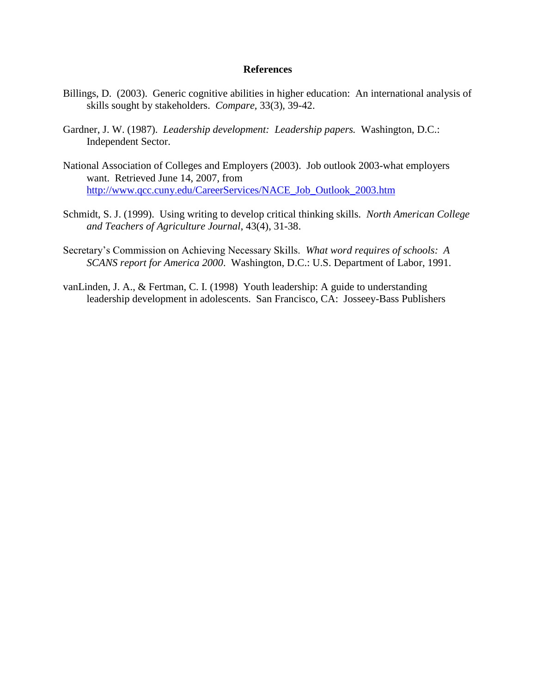- Billings, D. (2003). Generic cognitive abilities in higher education: An international analysis of skills sought by stakeholders. *Compare,* 33(3), 39-42.
- Gardner, J. W. (1987). *Leadership development: Leadership papers.* Washington, D.C.: Independent Sector.
- National Association of Colleges and Employers (2003). Job outlook 2003-what employers want. Retrieved June 14, 2007, from [http://www.qcc.cuny.edu/CareerServices/NACE\\_Job\\_Outlook\\_2003.htm](http://www.qcc.cuny.edu/CareerServices/NACE_Job_Outlook_2003.htm)
- Schmidt, S. J. (1999). Using writing to develop critical thinking skills. *North American College and Teachers of Agriculture Journal*, 43(4), 31-38.
- Secretary's Commission on Achieving Necessary Skills. *What word requires of schools: A SCANS report for America 2000*. Washington, D.C.: U.S. Department of Labor, 1991.
- vanLinden, J. A., & Fertman, C. I. (1998) Youth leadership: A guide to understanding leadership development in adolescents. San Francisco, CA: Josseey-Bass Publishers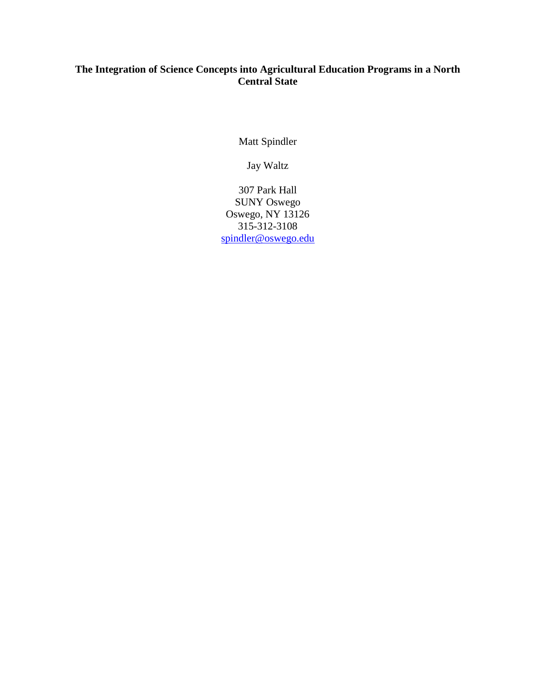# **The Integration of Science Concepts into Agricultural Education Programs in a North Central State**

Matt Spindler

Jay Waltz

307 Park Hall SUNY Oswego Oswego, NY 13126 315-312-3108 [spindler@oswego.edu](mailto:spindler@oswego.edu)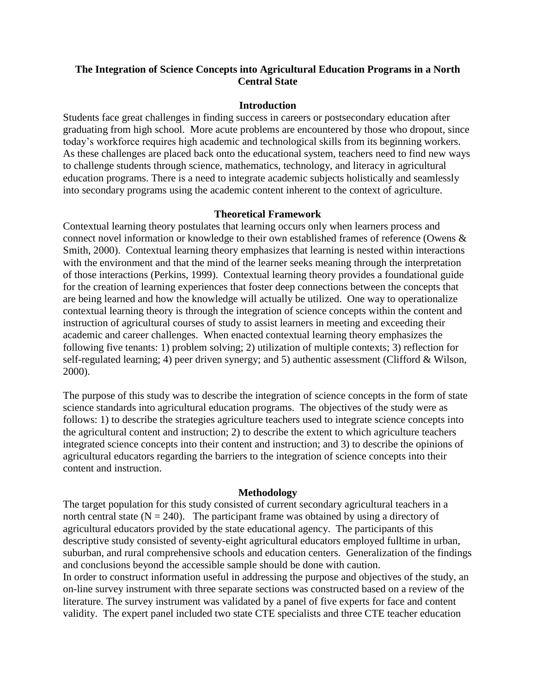## **The Integration of Science Concepts into Agricultural Education Programs in a North Central State**

#### **Introduction**

Students face great challenges in finding success in careers or postsecondary education after graduating from high school. More acute problems are encountered by those who dropout, since today's workforce requires high academic and technological skills from its beginning workers. As these challenges are placed back onto the educational system, teachers need to find new ways to challenge students through science, mathematics, technology, and literacy in agricultural education programs. There is a need to integrate academic subjects holistically and seamlessly into secondary programs using the academic content inherent to the context of agriculture.

#### **Theoretical Framework**

Contextual learning theory postulates that learning occurs only when learners process and connect novel information or knowledge to their own established frames of reference (Owens & Smith, 2000). Contextual learning theory emphasizes that learning is nested within interactions with the environment and that the mind of the learner seeks meaning through the interpretation of those interactions (Perkins, 1999). Contextual learning theory provides a foundational guide for the creation of learning experiences that foster deep connections between the concepts that are being learned and how the knowledge will actually be utilized. One way to operationalize contextual learning theory is through the integration of science concepts within the content and instruction of agricultural courses of study to assist learners in meeting and exceeding their academic and career challenges. When enacted contextual learning theory emphasizes the following five tenants: 1) problem solving; 2) utilization of multiple contexts; 3) reflection for self-regulated learning; 4) peer driven synergy; and 5) authentic assessment (Clifford & Wilson, 2000).

The purpose of this study was to describe the integration of science concepts in the form of state science standards into agricultural education programs. The objectives of the study were as follows: 1) to describe the strategies agriculture teachers used to integrate science concepts into the agricultural content and instruction; 2) to describe the extent to which agriculture teachers integrated science concepts into their content and instruction; and 3) to describe the opinions of agricultural educators regarding the barriers to the integration of science concepts into their content and instruction.

#### **Methodology**

The target population for this study consisted of current secondary agricultural teachers in a north central state  $(N = 240)$ . The participant frame was obtained by using a directory of agricultural educators provided by the state educational agency. The participants of this descriptive study consisted of seventy-eight agricultural educators employed fulltime in urban, suburban, and rural comprehensive schools and education centers. Generalization of the findings and conclusions beyond the accessible sample should be done with caution.

In order to construct information useful in addressing the purpose and objectives of the study, an on-line survey instrument with three separate sections was constructed based on a review of the literature. The survey instrument was validated by a panel of five experts for face and content validity. The expert panel included two state CTE specialists and three CTE teacher education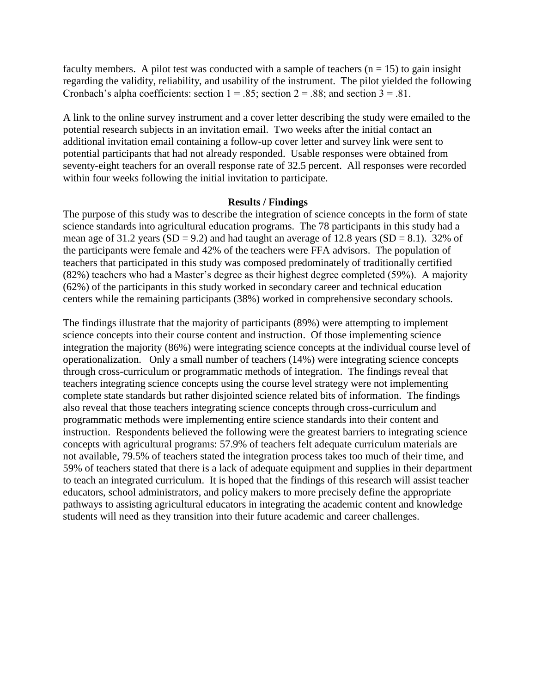faculty members. A pilot test was conducted with a sample of teachers  $(n = 15)$  to gain insight regarding the validity, reliability, and usability of the instrument. The pilot yielded the following Cronbach's alpha coefficients: section  $1 = .85$ ; section  $2 = .88$ ; and section  $3 = .81$ .

A link to the online survey instrument and a cover letter describing the study were emailed to the potential research subjects in an invitation email. Two weeks after the initial contact an additional invitation email containing a follow-up cover letter and survey link were sent to potential participants that had not already responded. Usable responses were obtained from seventy-eight teachers for an overall response rate of 32.5 percent. All responses were recorded within four weeks following the initial invitation to participate.

#### **Results / Findings**

The purpose of this study was to describe the integration of science concepts in the form of state science standards into agricultural education programs. The 78 participants in this study had a mean age of 31.2 years  $(SD = 9.2)$  and had taught an average of 12.8 years  $(SD = 8.1)$ . 32% of the participants were female and 42% of the teachers were FFA advisors. The population of teachers that participated in this study was composed predominately of traditionally certified (82%) teachers who had a Master's degree as their highest degree completed (59%). A majority (62%) of the participants in this study worked in secondary career and technical education centers while the remaining participants (38%) worked in comprehensive secondary schools.

The findings illustrate that the majority of participants (89%) were attempting to implement science concepts into their course content and instruction. Of those implementing science integration the majority (86%) were integrating science concepts at the individual course level of operationalization. Only a small number of teachers (14%) were integrating science concepts through cross-curriculum or programmatic methods of integration. The findings reveal that teachers integrating science concepts using the course level strategy were not implementing complete state standards but rather disjointed science related bits of information. The findings also reveal that those teachers integrating science concepts through cross-curriculum and programmatic methods were implementing entire science standards into their content and instruction. Respondents believed the following were the greatest barriers to integrating science concepts with agricultural programs: 57.9% of teachers felt adequate curriculum materials are not available, 79.5% of teachers stated the integration process takes too much of their time, and 59% of teachers stated that there is a lack of adequate equipment and supplies in their department to teach an integrated curriculum. It is hoped that the findings of this research will assist teacher educators, school administrators, and policy makers to more precisely define the appropriate pathways to assisting agricultural educators in integrating the academic content and knowledge students will need as they transition into their future academic and career challenges.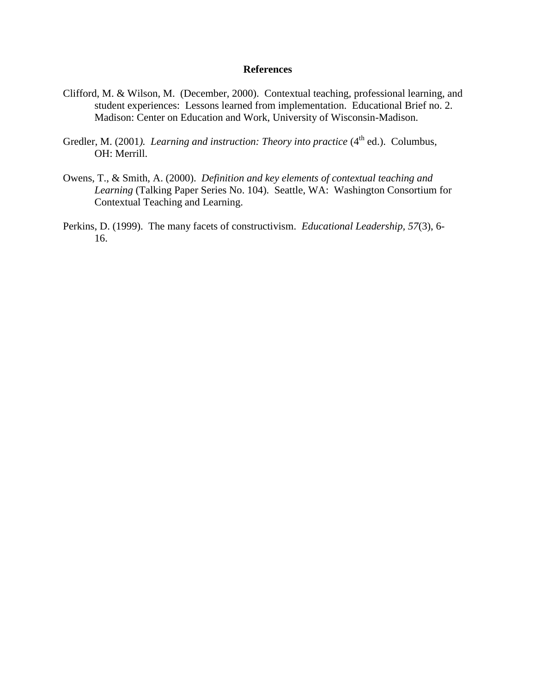- Clifford, M. & Wilson, M. (December, 2000). Contextual teaching, professional learning, and student experiences: Lessons learned from implementation. Educational Brief no. 2. Madison: Center on Education and Work, University of Wisconsin-Madison.
- Gredler, M. (2001). *Learning and instruction: Theory into practice* (4<sup>th</sup> ed.). Columbus, OH: Merrill.
- Owens, T., & Smith, A. (2000). *Definition and key elements of contextual teaching and Learning* (Talking Paper Series No. 104). Seattle, WA: Washington Consortium for Contextual Teaching and Learning.
- Perkins, D. (1999). The many facets of constructivism. *Educational Leadership, 57*(3), 6- 16.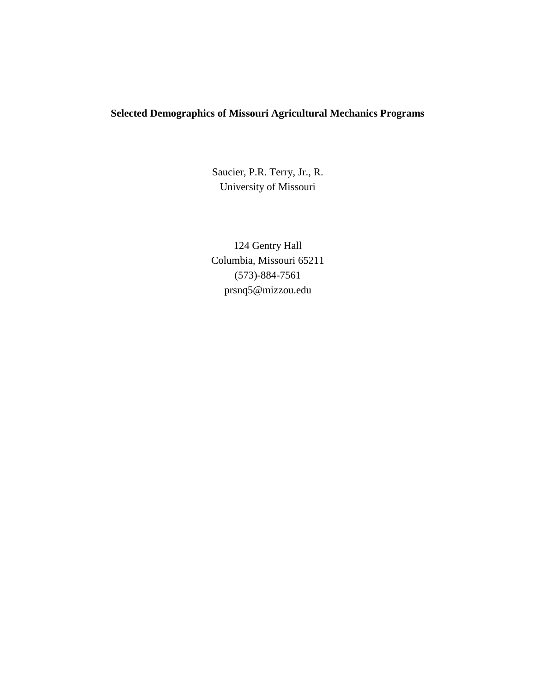# **Selected Demographics of Missouri Agricultural Mechanics Programs**

Saucier, P.R. Terry, Jr., R. University of Missouri

124 Gentry Hall Columbia, Missouri 65211 (573)-884-7561 prsnq5@mizzou.edu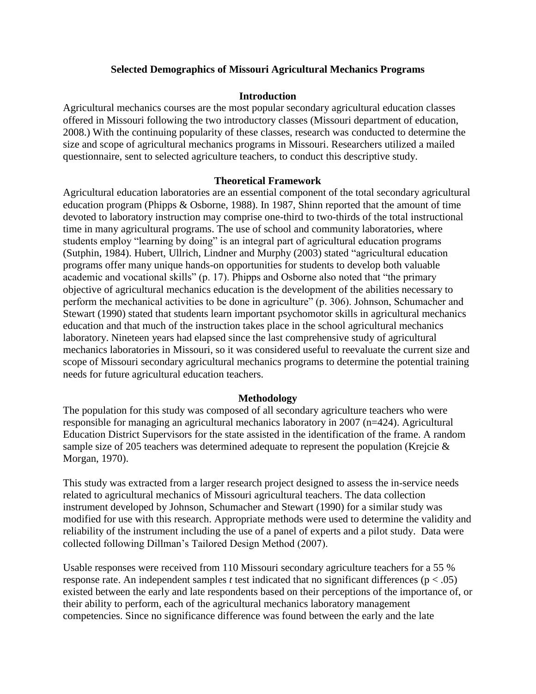### **Selected Demographics of Missouri Agricultural Mechanics Programs**

### **Introduction**

Agricultural mechanics courses are the most popular secondary agricultural education classes offered in Missouri following the two introductory classes (Missouri department of education, 2008.) With the continuing popularity of these classes, research was conducted to determine the size and scope of agricultural mechanics programs in Missouri. Researchers utilized a mailed questionnaire, sent to selected agriculture teachers, to conduct this descriptive study.

### **Theoretical Framework**

Agricultural education laboratories are an essential component of the total secondary agricultural education program (Phipps & Osborne, 1988). In 1987, Shinn reported that the amount of time devoted to laboratory instruction may comprise one-third to two-thirds of the total instructional time in many agricultural programs. The use of school and community laboratories, where students employ "learning by doing" is an integral part of agricultural education programs (Sutphin, 1984). Hubert, Ullrich, Lindner and Murphy (2003) stated "agricultural education programs offer many unique hands-on opportunities for students to develop both valuable academic and vocational skills" (p. 17). Phipps and Osborne also noted that "the primary objective of agricultural mechanics education is the development of the abilities necessary to perform the mechanical activities to be done in agriculture" (p. 306). Johnson, Schumacher and Stewart (1990) stated that students learn important psychomotor skills in agricultural mechanics education and that much of the instruction takes place in the school agricultural mechanics laboratory. Nineteen years had elapsed since the last comprehensive study of agricultural mechanics laboratories in Missouri, so it was considered useful to reevaluate the current size and scope of Missouri secondary agricultural mechanics programs to determine the potential training needs for future agricultural education teachers.

#### **Methodology**

The population for this study was composed of all secondary agriculture teachers who were responsible for managing an agricultural mechanics laboratory in 2007 (n=424). Agricultural Education District Supervisors for the state assisted in the identification of the frame. A random sample size of 205 teachers was determined adequate to represent the population (Krejcie & Morgan, 1970).

This study was extracted from a larger research project designed to assess the in-service needs related to agricultural mechanics of Missouri agricultural teachers. The data collection instrument developed by Johnson, Schumacher and Stewart (1990) for a similar study was modified for use with this research. Appropriate methods were used to determine the validity and reliability of the instrument including the use of a panel of experts and a pilot study. Data were collected following Dillman's Tailored Design Method (2007).

Usable responses were received from 110 Missouri secondary agriculture teachers for a 55 % response rate. An independent samples *t* test indicated that no significant differences (p < .05) existed between the early and late respondents based on their perceptions of the importance of, or their ability to perform, each of the agricultural mechanics laboratory management competencies. Since no significance difference was found between the early and the late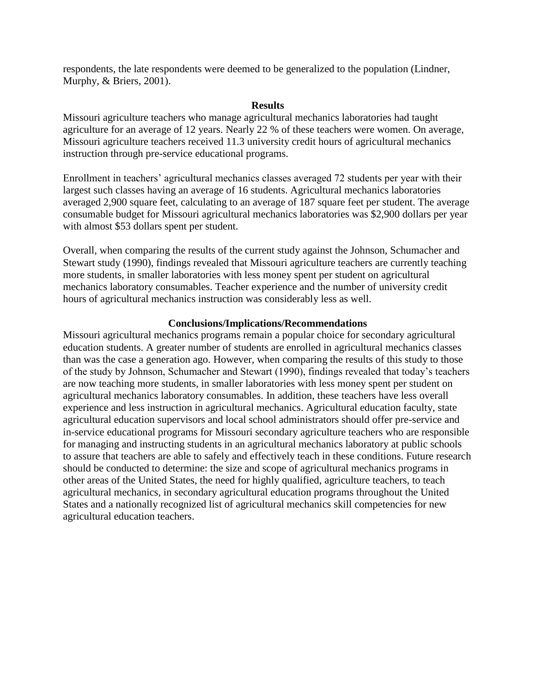respondents, the late respondents were deemed to be generalized to the population (Lindner, Murphy, & Briers, 2001).

### **Results**

Missouri agriculture teachers who manage agricultural mechanics laboratories had taught agriculture for an average of 12 years. Nearly 22 % of these teachers were women. On average, Missouri agriculture teachers received 11.3 university credit hours of agricultural mechanics instruction through pre-service educational programs.

Enrollment in teachers' agricultural mechanics classes averaged 72 students per year with their largest such classes having an average of 16 students. Agricultural mechanics laboratories averaged 2,900 square feet, calculating to an average of 187 square feet per student. The average consumable budget for Missouri agricultural mechanics laboratories was \$2,900 dollars per year with almost \$53 dollars spent per student.

Overall, when comparing the results of the current study against the Johnson, Schumacher and Stewart study (1990), findings revealed that Missouri agriculture teachers are currently teaching more students, in smaller laboratories with less money spent per student on agricultural mechanics laboratory consumables. Teacher experience and the number of university credit hours of agricultural mechanics instruction was considerably less as well.

### **Conclusions/Implications/Recommendations**

Missouri agricultural mechanics programs remain a popular choice for secondary agricultural education students. A greater number of students are enrolled in agricultural mechanics classes than was the case a generation ago. However, when comparing the results of this study to those of the study by Johnson, Schumacher and Stewart (1990), findings revealed that today's teachers are now teaching more students, in smaller laboratories with less money spent per student on agricultural mechanics laboratory consumables. In addition, these teachers have less overall experience and less instruction in agricultural mechanics. Agricultural education faculty, state agricultural education supervisors and local school administrators should offer pre-service and in-service educational programs for Missouri secondary agriculture teachers who are responsible for managing and instructing students in an agricultural mechanics laboratory at public schools to assure that teachers are able to safely and effectively teach in these conditions. Future research should be conducted to determine: the size and scope of agricultural mechanics programs in other areas of the United States, the need for highly qualified, agriculture teachers, to teach agricultural mechanics, in secondary agricultural education programs throughout the United States and a nationally recognized list of agricultural mechanics skill competencies for new agricultural education teachers.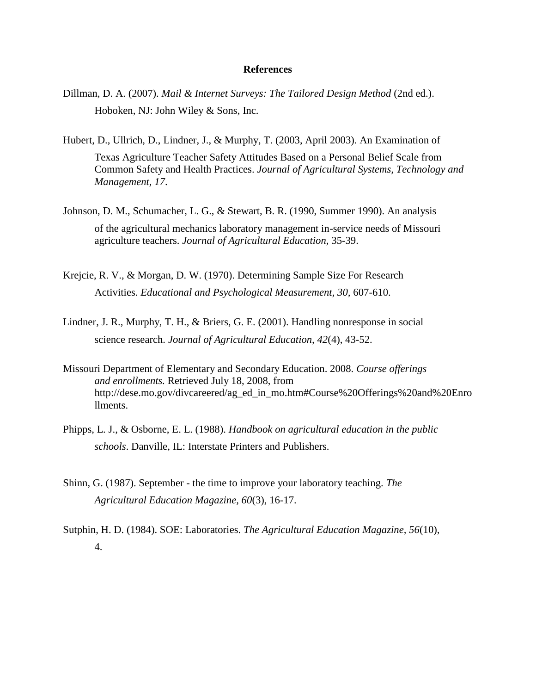- Dillman, D. A. (2007). *Mail & Internet Surveys: The Tailored Design Method* (2nd ed.). Hoboken, NJ: John Wiley & Sons, Inc.
- Hubert, D., Ullrich, D., Lindner, J., & Murphy, T. (2003, April 2003). An Examination of Texas Agriculture Teacher Safety Attitudes Based on a Personal Belief Scale from Common Safety and Health Practices. *Journal of Agricultural Systems, Technology and Management, 17*.
- Johnson, D. M., Schumacher, L. G., & Stewart, B. R. (1990, Summer 1990). An analysis of the agricultural mechanics laboratory management in-service needs of Missouri agriculture teachers. *Journal of Agricultural Education,* 35-39.
- Krejcie, R. V., & Morgan, D. W. (1970). Determining Sample Size For Research Activities. *Educational and Psychological Measurement, 30,* 607-610.
- Lindner, J. R., Murphy, T. H., & Briers, G. E. (2001). Handling nonresponse in social science research. *Journal of Agricultural Education, 42*(4), 43-52.
- Missouri Department of Elementary and Secondary Education. 2008. *Course offerings and enrollments.* Retrieved July 18, 2008, from http://dese.mo.gov/divcareered/ag\_ed\_in\_mo.htm#Course%20Offerings%20and%20Enro llments.
- Phipps, L. J., & Osborne, E. L. (1988). *Handbook on agricultural education in the public schools*. Danville, IL: Interstate Printers and Publishers.
- Shinn, G. (1987). September the time to improve your laboratory teaching. *The Agricultural Education Magazine, 60*(3), 16-17.
- Sutphin, H. D. (1984). SOE: Laboratories. *The Agricultural Education Magazine, 56*(10), 4.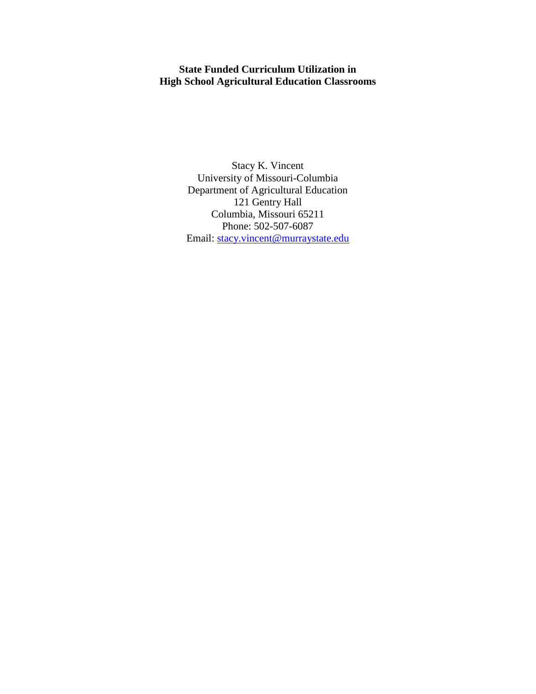## **State Funded Curriculum Utilization in High School Agricultural Education Classrooms**

Stacy K. Vincent University of Missouri-Columbia Department of Agricultural Education 121 Gentry Hall Columbia, Missouri 65211 Phone: 502-507-6087 Email: [stacy.vincent@murraystate.edu](mailto:stacy.vincent@murraystate.edu)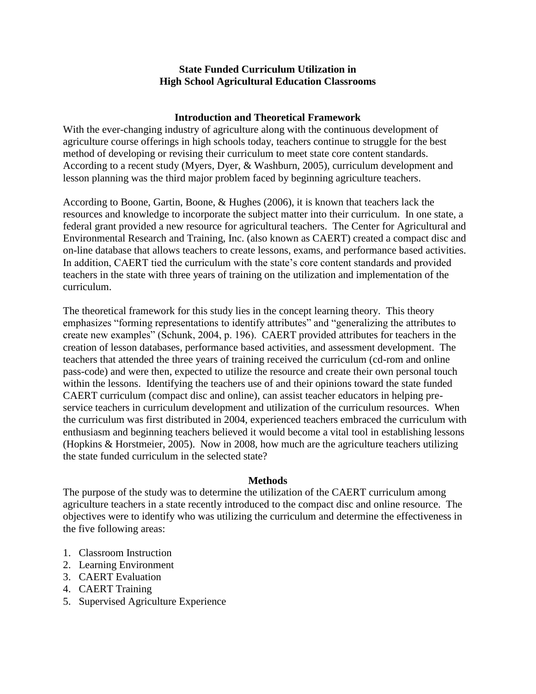### **State Funded Curriculum Utilization in High School Agricultural Education Classrooms**

### **Introduction and Theoretical Framework**

With the ever-changing industry of agriculture along with the continuous development of agriculture course offerings in high schools today, teachers continue to struggle for the best method of developing or revising their curriculum to meet state core content standards. According to a recent study (Myers, Dyer, & Washburn, 2005), curriculum development and lesson planning was the third major problem faced by beginning agriculture teachers.

According to Boone, Gartin, Boone, & Hughes (2006), it is known that teachers lack the resources and knowledge to incorporate the subject matter into their curriculum. In one state, a federal grant provided a new resource for agricultural teachers. The Center for Agricultural and Environmental Research and Training, Inc. (also known as CAERT) created a compact disc and on-line database that allows teachers to create lessons, exams, and performance based activities. In addition, CAERT tied the curriculum with the state's core content standards and provided teachers in the state with three years of training on the utilization and implementation of the curriculum.

The theoretical framework for this study lies in the concept learning theory. This theory emphasizes "forming representations to identify attributes" and "generalizing the attributes to create new examples" (Schunk, 2004, p. 196). CAERT provided attributes for teachers in the creation of lesson databases, performance based activities, and assessment development. The teachers that attended the three years of training received the curriculum (cd-rom and online pass-code) and were then, expected to utilize the resource and create their own personal touch within the lessons. Identifying the teachers use of and their opinions toward the state funded CAERT curriculum (compact disc and online), can assist teacher educators in helping preservice teachers in curriculum development and utilization of the curriculum resources. When the curriculum was first distributed in 2004, experienced teachers embraced the curriculum with enthusiasm and beginning teachers believed it would become a vital tool in establishing lessons (Hopkins & Horstmeier, 2005). Now in 2008, how much are the agriculture teachers utilizing the state funded curriculum in the selected state?

### **Methods**

The purpose of the study was to determine the utilization of the CAERT curriculum among agriculture teachers in a state recently introduced to the compact disc and online resource. The objectives were to identify who was utilizing the curriculum and determine the effectiveness in the five following areas:

- 1. Classroom Instruction
- 2. Learning Environment
- 3. CAERT Evaluation
- 4. CAERT Training
- 5. Supervised Agriculture Experience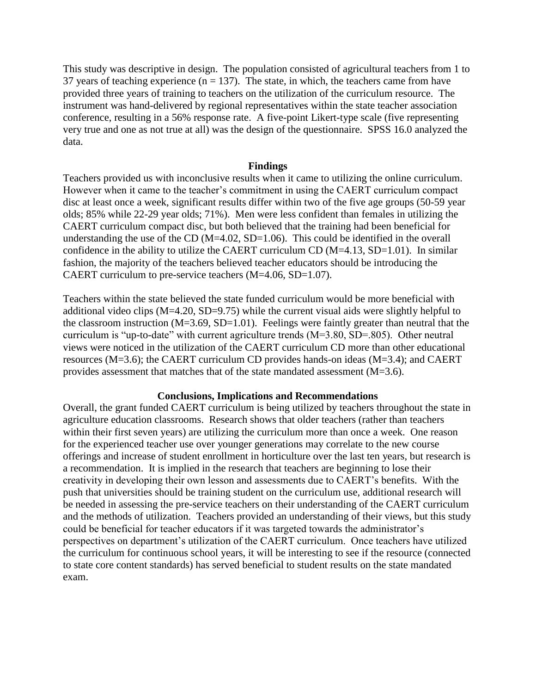This study was descriptive in design. The population consisted of agricultural teachers from 1 to 37 years of teaching experience ( $n = 137$ ). The state, in which, the teachers came from have provided three years of training to teachers on the utilization of the curriculum resource. The instrument was hand-delivered by regional representatives within the state teacher association conference, resulting in a 56% response rate. A five-point Likert-type scale (five representing very true and one as not true at all) was the design of the questionnaire. SPSS 16.0 analyzed the data.

#### **Findings**

Teachers provided us with inconclusive results when it came to utilizing the online curriculum. However when it came to the teacher's commitment in using the CAERT curriculum compact disc at least once a week, significant results differ within two of the five age groups (50-59 year olds; 85% while 22-29 year olds; 71%). Men were less confident than females in utilizing the CAERT curriculum compact disc, but both believed that the training had been beneficial for understanding the use of the CD ( $M=4.02$ ,  $SD=1.06$ ). This could be identified in the overall confidence in the ability to utilize the CAERT curriculum CD  $(M=4.13, SD=1.01)$ . In similar fashion, the majority of the teachers believed teacher educators should be introducing the CAERT curriculum to pre-service teachers (M=4.06, SD=1.07).

Teachers within the state believed the state funded curriculum would be more beneficial with additional video clips  $(M=4.20, SD=9.75)$  while the current visual aids were slightly helpful to the classroom instruction  $(M=3.69, SD=1.01)$ . Feelings were faintly greater than neutral that the curriculum is "up-to-date" with current agriculture trends (M=3.80, SD=.805). Other neutral views were noticed in the utilization of the CAERT curriculum CD more than other educational resources (M=3.6); the CAERT curriculum CD provides hands-on ideas (M=3.4); and CAERT provides assessment that matches that of the state mandated assessment (M=3.6).

#### **Conclusions, Implications and Recommendations**

Overall, the grant funded CAERT curriculum is being utilized by teachers throughout the state in agriculture education classrooms. Research shows that older teachers (rather than teachers within their first seven years) are utilizing the curriculum more than once a week. One reason for the experienced teacher use over younger generations may correlate to the new course offerings and increase of student enrollment in horticulture over the last ten years, but research is a recommendation. It is implied in the research that teachers are beginning to lose their creativity in developing their own lesson and assessments due to CAERT's benefits. With the push that universities should be training student on the curriculum use, additional research will be needed in assessing the pre-service teachers on their understanding of the CAERT curriculum and the methods of utilization. Teachers provided an understanding of their views, but this study could be beneficial for teacher educators if it was targeted towards the administrator's perspectives on department's utilization of the CAERT curriculum. Once teachers have utilized the curriculum for continuous school years, it will be interesting to see if the resource (connected to state core content standards) has served beneficial to student results on the state mandated exam.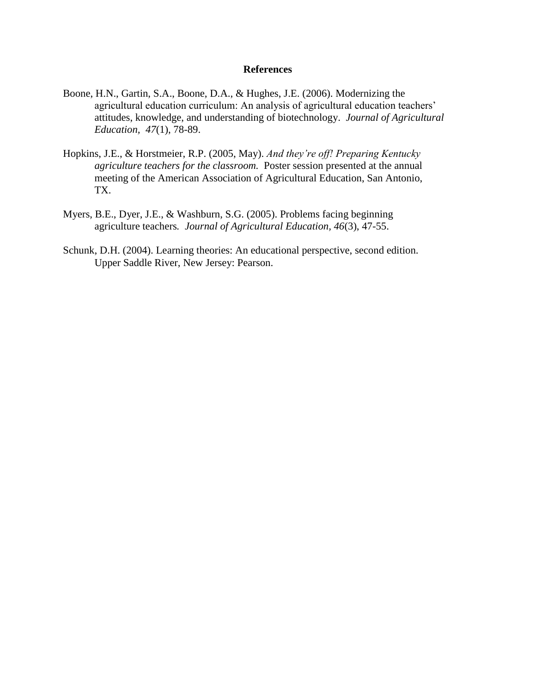- Boone, H.N., Gartin, S.A., Boone, D.A., & Hughes, J.E. (2006). Modernizing the agricultural education curriculum: An analysis of agricultural education teachers' attitudes, knowledge, and understanding of biotechnology. *Journal of Agricultural Education, 47*(1), 78-89.
- Hopkins, J.E., & Horstmeier, R.P. (2005, May). *And they're off! Preparing Kentucky agriculture teachers for the classroom.* Poster session presented at the annual meeting of the American Association of Agricultural Education, San Antonio, TX.
- Myers, B.E., Dyer, J.E., & Washburn, S.G. (2005). Problems facing beginning agriculture teachers*. Journal of Agricultural Education, 46*(3), 47-55.
- Schunk, D.H. (2004). Learning theories: An educational perspective, second edition. Upper Saddle River, New Jersey: Pearson.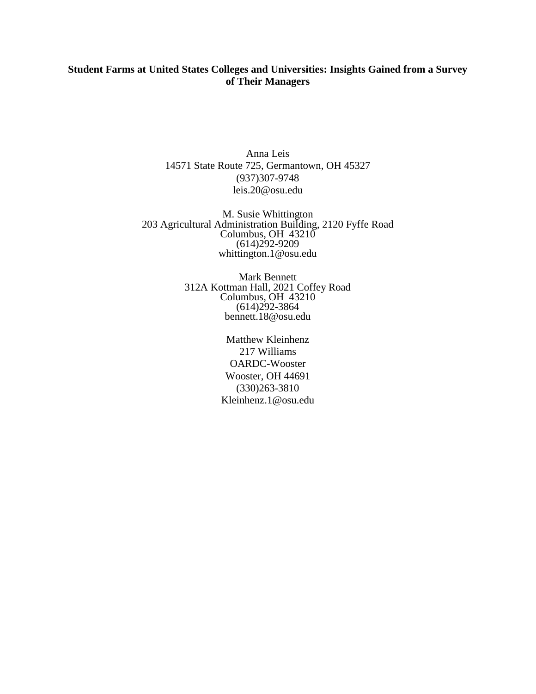## **Student Farms at United States Colleges and Universities: Insights Gained from a Survey of Their Managers**

Anna Leis 14571 State Route 725, Germantown, OH 45327 (937)307-9748 leis.20@osu.edu

M. Susie Whittington 203 Agricultural Administration Building, 2120 Fyffe Road Columbus, OH 43210 (614)292-9209 whittington.1@osu.edu

> Mark Bennett 312A Kottman Hall, 2021 Coffey Road Columbus, OH 43210 (614)292-3864 bennett.18@osu.edu

> > Matthew Kleinhenz 217 Williams OARDC-Wooster Wooster, OH 44691 (330)263-3810 Kleinhenz.1@osu.edu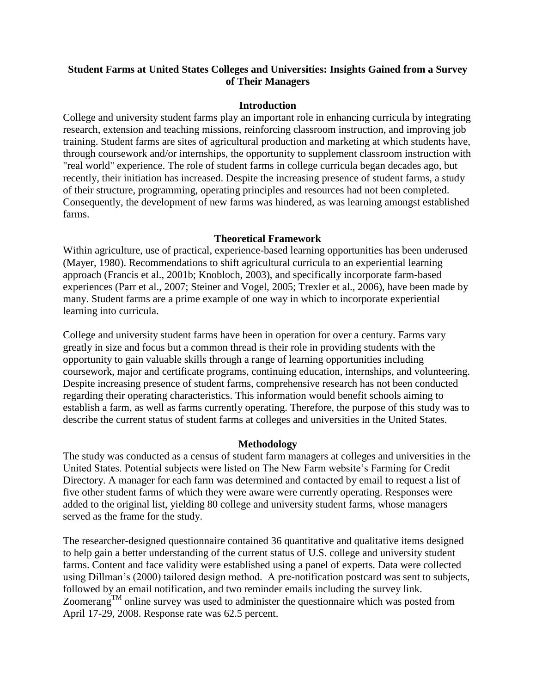## **Student Farms at United States Colleges and Universities: Insights Gained from a Survey of Their Managers**

### **Introduction**

College and university student farms play an important role in enhancing curricula by integrating research, extension and teaching missions, reinforcing classroom instruction, and improving job training. Student farms are sites of agricultural production and marketing at which students have, through coursework and/or internships, the opportunity to supplement classroom instruction with "real world" experience. The role of student farms in college curricula began decades ago, but recently, their initiation has increased. Despite the increasing presence of student farms, a study of their structure, programming, operating principles and resources had not been completed. Consequently, the development of new farms was hindered, as was learning amongst established farms.

## **Theoretical Framework**

Within agriculture, use of practical, experience-based learning opportunities has been underused (Mayer, 1980). Recommendations to shift agricultural curricula to an experiential learning approach (Francis et al., 2001b; Knobloch, 2003), and specifically incorporate farm-based experiences (Parr et al., 2007; Steiner and Vogel, 2005; Trexler et al., 2006), have been made by many. Student farms are a prime example of one way in which to incorporate experiential learning into curricula.

College and university student farms have been in operation for over a century. Farms vary greatly in size and focus but a common thread is their role in providing students with the opportunity to gain valuable skills through a range of learning opportunities including coursework, major and certificate programs, continuing education, internships, and volunteering. Despite increasing presence of student farms, comprehensive research has not been conducted regarding their operating characteristics. This information would benefit schools aiming to establish a farm, as well as farms currently operating. Therefore, the purpose of this study was to describe the current status of student farms at colleges and universities in the United States.

### **Methodology**

The study was conducted as a census of student farm managers at colleges and universities in the United States. Potential subjects were listed on The New Farm website's Farming for Credit Directory. A manager for each farm was determined and contacted by email to request a list of five other student farms of which they were aware were currently operating. Responses were added to the original list, yielding 80 college and university student farms, whose managers served as the frame for the study.

The researcher-designed questionnaire contained 36 quantitative and qualitative items designed to help gain a better understanding of the current status of U.S. college and university student farms. Content and face validity were established using a panel of experts. Data were collected using Dillman's (2000) tailored design method. A pre-notification postcard was sent to subjects, followed by an email notification, and two reminder emails including the survey link. Zoomerang<sup>TM</sup> online survey was used to administer the questionnaire which was posted from April 17-29, 2008. Response rate was 62.5 percent.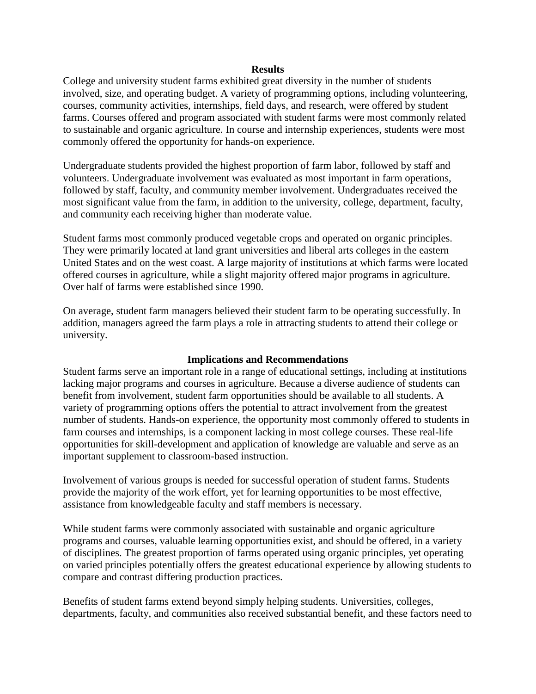#### **Results**

College and university student farms exhibited great diversity in the number of students involved, size, and operating budget. A variety of programming options, including volunteering, courses, community activities, internships, field days, and research, were offered by student farms. Courses offered and program associated with student farms were most commonly related to sustainable and organic agriculture. In course and internship experiences, students were most commonly offered the opportunity for hands-on experience.

Undergraduate students provided the highest proportion of farm labor, followed by staff and volunteers. Undergraduate involvement was evaluated as most important in farm operations, followed by staff, faculty, and community member involvement. Undergraduates received the most significant value from the farm, in addition to the university, college, department, faculty, and community each receiving higher than moderate value.

Student farms most commonly produced vegetable crops and operated on organic principles. They were primarily located at land grant universities and liberal arts colleges in the eastern United States and on the west coast. A large majority of institutions at which farms were located offered courses in agriculture, while a slight majority offered major programs in agriculture. Over half of farms were established since 1990.

On average, student farm managers believed their student farm to be operating successfully. In addition, managers agreed the farm plays a role in attracting students to attend their college or university.

#### **Implications and Recommendations**

Student farms serve an important role in a range of educational settings, including at institutions lacking major programs and courses in agriculture. Because a diverse audience of students can benefit from involvement, student farm opportunities should be available to all students. A variety of programming options offers the potential to attract involvement from the greatest number of students. Hands-on experience, the opportunity most commonly offered to students in farm courses and internships, is a component lacking in most college courses. These real-life opportunities for skill-development and application of knowledge are valuable and serve as an important supplement to classroom-based instruction.

Involvement of various groups is needed for successful operation of student farms. Students provide the majority of the work effort, yet for learning opportunities to be most effective, assistance from knowledgeable faculty and staff members is necessary.

While student farms were commonly associated with sustainable and organic agriculture programs and courses, valuable learning opportunities exist, and should be offered, in a variety of disciplines. The greatest proportion of farms operated using organic principles, yet operating on varied principles potentially offers the greatest educational experience by allowing students to compare and contrast differing production practices.

Benefits of student farms extend beyond simply helping students. Universities, colleges, departments, faculty, and communities also received substantial benefit, and these factors need to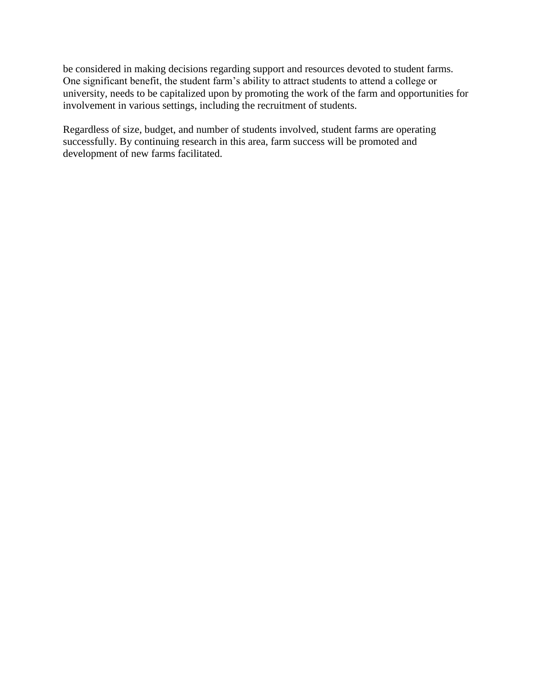be considered in making decisions regarding support and resources devoted to student farms. One significant benefit, the student farm's ability to attract students to attend a college or university, needs to be capitalized upon by promoting the work of the farm and opportunities for involvement in various settings, including the recruitment of students.

Regardless of size, budget, and number of students involved, student farms are operating successfully. By continuing research in this area, farm success will be promoted and development of new farms facilitated.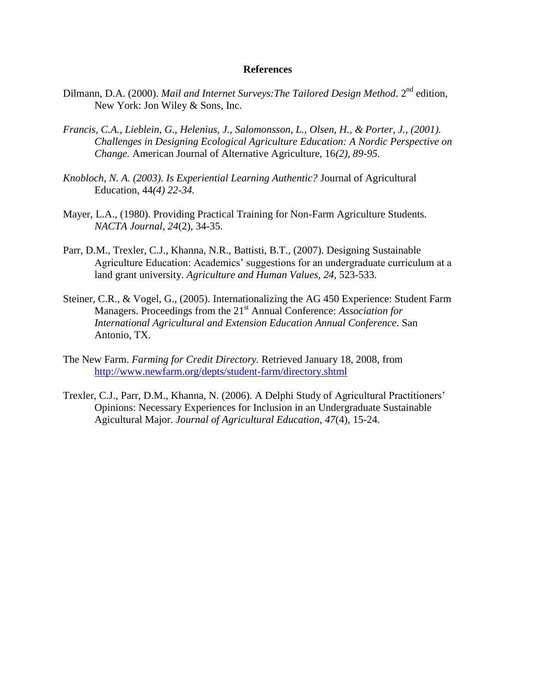- Dilmann, D.A. (2000). *Mail and Internet Surveys: The Tailored Design Method*. 2<sup>nd</sup> edition, New York: Jon Wiley & Sons, Inc.
- *Francis, C.A., Lieblein, G., Helenius, J., Salomonsson, L., Olsen, H., & Porter, J., (2001). Challenges in Designing Ecological Agriculture Education: A Nordic Perspective on Change.* American Journal of Alternative Agriculture, 16*(2), 89-95.*
- *Knobloch, N. A. (2003). Is Experiential Learning Authentic?* Journal of Agricultural Education, 44*(4) 22-34.*
- Mayer, L.A., (1980). Providing Practical Training for Non-Farm Agriculture Students. *NACTA Journal, 24*(2), 34-35.
- Parr, D.M., Trexler, C.J., Khanna, N.R., Battisti, B.T., (2007). Designing Sustainable Agriculture Education: Academics' suggestions for an undergraduate curriculum at a land grant university. *Agriculture and Human Values, 24,* 523-533.
- Steiner, C.R., & Vogel, G., (2005). Internationalizing the AG 450 Experience: Student Farm Managers. Proceedings from the 21st Annual Conference: *Association for International Agricultural and Extension Education Annual Conference*. San Antonio, TX.
- The New Farm. *Farming for Credit Directory.* Retrieved January 18, 2008, from <http://www.newfarm.org/depts/student-farm/directory.shtml>
- Trexler, C.J., Parr, D.M., Khanna, N. (2006). A Delphi Study of Agricultural Practitioners' Opinions: Necessary Experiences for Inclusion in an Undergraduate Sustainable Agicultural Major. *Journal of Agricultural Education, 47*(4), 15-24.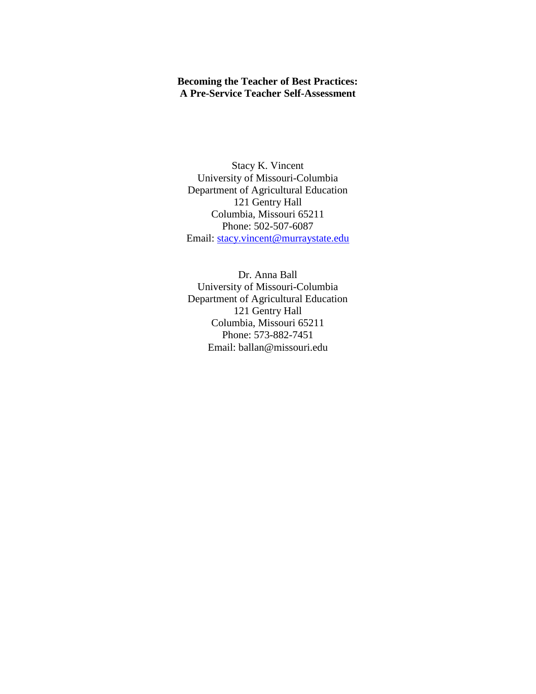## **Becoming the Teacher of Best Practices: A Pre-Service Teacher Self-Assessment**

Stacy K. Vincent University of Missouri-Columbia Department of Agricultural Education 121 Gentry Hall Columbia, Missouri 65211 Phone: 502-507-6087 Email: [stacy.vincent@murraystate.edu](mailto:stacy.vincent@murraystate.edu)

Dr. Anna Ball University of Missouri-Columbia Department of Agricultural Education 121 Gentry Hall Columbia, Missouri 65211 Phone: 573-882-7451 Email: ballan@missouri.edu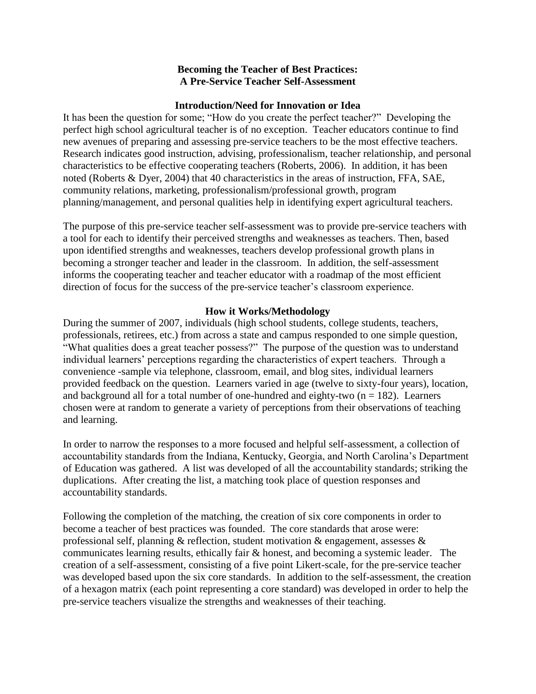### **Becoming the Teacher of Best Practices: A Pre-Service Teacher Self-Assessment**

### **Introduction/Need for Innovation or Idea**

It has been the question for some; "How do you create the perfect teacher?" Developing the perfect high school agricultural teacher is of no exception. Teacher educators continue to find new avenues of preparing and assessing pre-service teachers to be the most effective teachers. Research indicates good instruction, advising, professionalism, teacher relationship, and personal characteristics to be effective cooperating teachers (Roberts, 2006). In addition, it has been noted (Roberts & Dyer, 2004) that 40 characteristics in the areas of instruction, FFA, SAE, community relations, marketing, professionalism/professional growth, program planning/management, and personal qualities help in identifying expert agricultural teachers.

The purpose of this pre-service teacher self-assessment was to provide pre-service teachers with a tool for each to identify their perceived strengths and weaknesses as teachers. Then, based upon identified strengths and weaknesses, teachers develop professional growth plans in becoming a stronger teacher and leader in the classroom. In addition, the self-assessment informs the cooperating teacher and teacher educator with a roadmap of the most efficient direction of focus for the success of the pre-service teacher's classroom experience.

### **How it Works/Methodology**

During the summer of 2007, individuals (high school students, college students, teachers, professionals, retirees, etc.) from across a state and campus responded to one simple question, "What qualities does a great teacher possess?" The purpose of the question was to understand individual learners' perceptions regarding the characteristics of expert teachers. Through a convenience -sample via telephone, classroom, email, and blog sites, individual learners provided feedback on the question. Learners varied in age (twelve to sixty-four years), location, and background all for a total number of one-hundred and eighty-two  $(n = 182)$ . Learners chosen were at random to generate a variety of perceptions from their observations of teaching and learning.

In order to narrow the responses to a more focused and helpful self-assessment, a collection of accountability standards from the Indiana, Kentucky, Georgia, and North Carolina's Department of Education was gathered. A list was developed of all the accountability standards; striking the duplications. After creating the list, a matching took place of question responses and accountability standards.

Following the completion of the matching, the creation of six core components in order to become a teacher of best practices was founded. The core standards that arose were: professional self, planning & reflection, student motivation & engagement, assesses & communicates learning results, ethically fair & honest, and becoming a systemic leader. The creation of a self-assessment, consisting of a five point Likert-scale, for the pre-service teacher was developed based upon the six core standards. In addition to the self-assessment, the creation of a hexagon matrix (each point representing a core standard) was developed in order to help the pre-service teachers visualize the strengths and weaknesses of their teaching.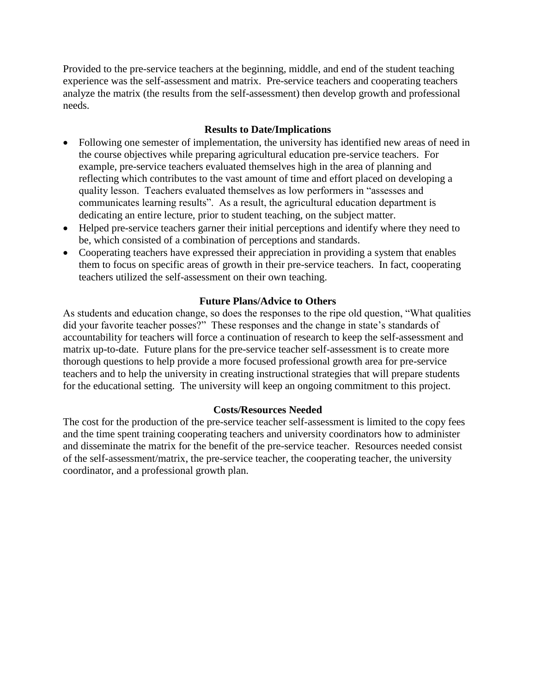Provided to the pre-service teachers at the beginning, middle, and end of the student teaching experience was the self-assessment and matrix. Pre-service teachers and cooperating teachers analyze the matrix (the results from the self-assessment) then develop growth and professional needs.

## **Results to Date/Implications**

- Following one semester of implementation, the university has identified new areas of need in the course objectives while preparing agricultural education pre-service teachers. For example, pre-service teachers evaluated themselves high in the area of planning and reflecting which contributes to the vast amount of time and effort placed on developing a quality lesson. Teachers evaluated themselves as low performers in "assesses and communicates learning results". As a result, the agricultural education department is dedicating an entire lecture, prior to student teaching, on the subject matter.
- Helped pre-service teachers garner their initial perceptions and identify where they need to be, which consisted of a combination of perceptions and standards.
- Cooperating teachers have expressed their appreciation in providing a system that enables them to focus on specific areas of growth in their pre-service teachers. In fact, cooperating teachers utilized the self-assessment on their own teaching.

### **Future Plans/Advice to Others**

As students and education change, so does the responses to the ripe old question, "What qualities did your favorite teacher posses?" These responses and the change in state's standards of accountability for teachers will force a continuation of research to keep the self-assessment and matrix up-to-date. Future plans for the pre-service teacher self-assessment is to create more thorough questions to help provide a more focused professional growth area for pre-service teachers and to help the university in creating instructional strategies that will prepare students for the educational setting. The university will keep an ongoing commitment to this project.

### **Costs/Resources Needed**

The cost for the production of the pre-service teacher self-assessment is limited to the copy fees and the time spent training cooperating teachers and university coordinators how to administer and disseminate the matrix for the benefit of the pre-service teacher. Resources needed consist of the self-assessment/matrix, the pre-service teacher, the cooperating teacher, the university coordinator, and a professional growth plan.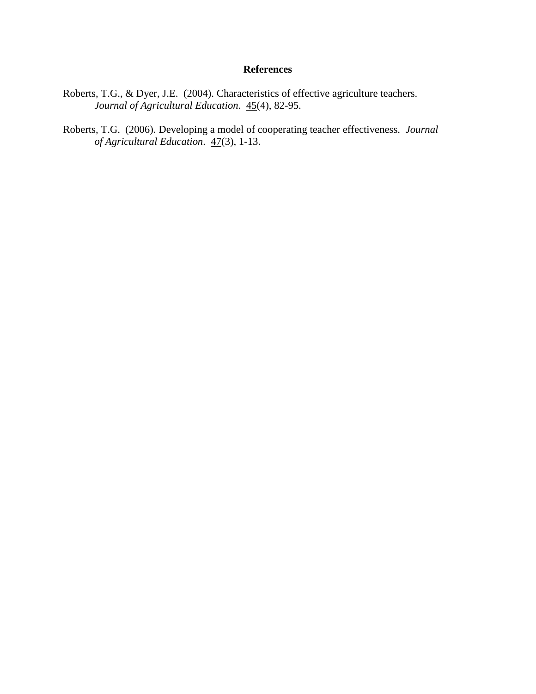- Roberts, T.G., & Dyer, J.E. (2004). Characteristics of effective agriculture teachers. *Journal of Agricultural Education*. 45(4), 82-95.
- Roberts, T.G. (2006). Developing a model of cooperating teacher effectiveness. *Journal of Agricultural Education*. 47(3), 1-13.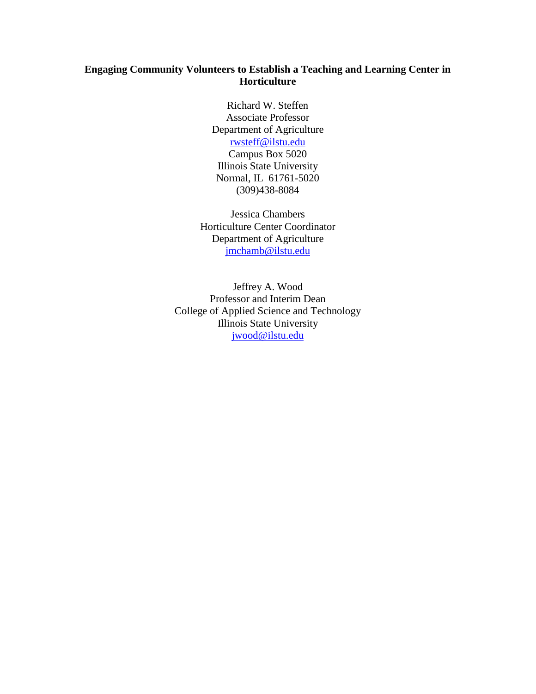## **Engaging Community Volunteers to Establish a Teaching and Learning Center in Horticulture**

Richard W. Steffen Associate Professor Department of Agriculture [rwsteff@ilstu.edu](mailto:rwsteff@ilstu.edu) Campus Box 5020 Illinois State University Normal, IL 61761-5020 (309)438-8084

Jessica Chambers Horticulture Center Coordinator Department of Agriculture [jmchamb@ilstu.edu](mailto:jmchamb@ilstu.edu)

Jeffrey A. Wood Professor and Interim Dean College of Applied Science and Technology Illinois State University [jwood@ilstu.edu](mailto:jwood@ilstu.edu)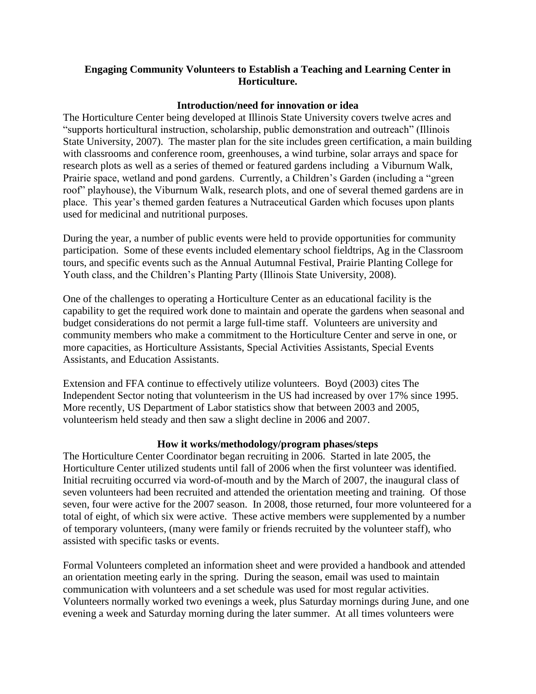## **Engaging Community Volunteers to Establish a Teaching and Learning Center in Horticulture.**

### **Introduction/need for innovation or idea**

The Horticulture Center being developed at Illinois State University covers twelve acres and "supports horticultural instruction, scholarship, public demonstration and outreach" (Illinois State University, 2007). The master plan for the site includes green certification, a main building with classrooms and conference room, greenhouses, a wind turbine, solar arrays and space for research plots as well as a series of themed or featured gardens including a Viburnum Walk, Prairie space, wetland and pond gardens. Currently, a Children's Garden (including a "green roof" playhouse), the Viburnum Walk, research plots, and one of several themed gardens are in place. This year's themed garden features a Nutraceutical Garden which focuses upon plants used for medicinal and nutritional purposes.

During the year, a number of public events were held to provide opportunities for community participation. Some of these events included elementary school fieldtrips, Ag in the Classroom tours, and specific events such as the Annual Autumnal Festival, Prairie Planting College for Youth class, and the Children's Planting Party (Illinois State University, 2008).

One of the challenges to operating a Horticulture Center as an educational facility is the capability to get the required work done to maintain and operate the gardens when seasonal and budget considerations do not permit a large full-time staff. Volunteers are university and community members who make a commitment to the Horticulture Center and serve in one, or more capacities, as Horticulture Assistants, Special Activities Assistants, Special Events Assistants, and Education Assistants.

Extension and FFA continue to effectively utilize volunteers. Boyd (2003) cites The Independent Sector noting that volunteerism in the US had increased by over 17% since 1995. More recently, US Department of Labor statistics show that between 2003 and 2005, volunteerism held steady and then saw a slight decline in 2006 and 2007.

### **How it works/methodology/program phases/steps**

The Horticulture Center Coordinator began recruiting in 2006. Started in late 2005, the Horticulture Center utilized students until fall of 2006 when the first volunteer was identified. Initial recruiting occurred via word-of-mouth and by the March of 2007, the inaugural class of seven volunteers had been recruited and attended the orientation meeting and training. Of those seven, four were active for the 2007 season. In 2008, those returned, four more volunteered for a total of eight, of which six were active. These active members were supplemented by a number of temporary volunteers, (many were family or friends recruited by the volunteer staff), who assisted with specific tasks or events.

Formal Volunteers completed an information sheet and were provided a handbook and attended an orientation meeting early in the spring. During the season, email was used to maintain communication with volunteers and a set schedule was used for most regular activities. Volunteers normally worked two evenings a week, plus Saturday mornings during June, and one evening a week and Saturday morning during the later summer. At all times volunteers were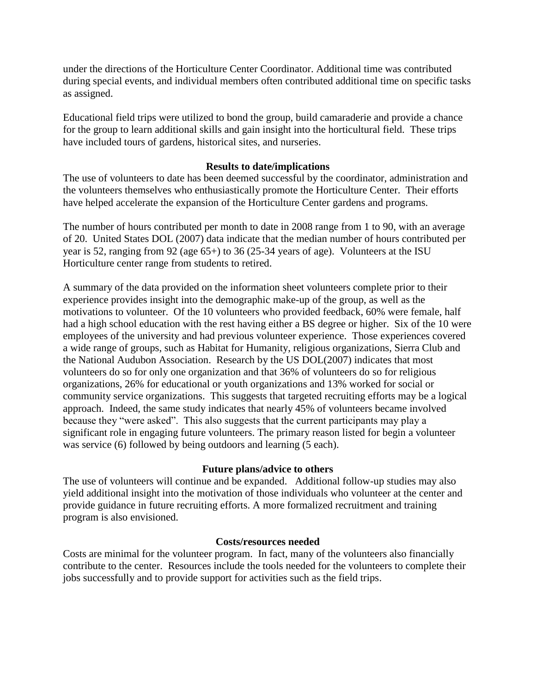under the directions of the Horticulture Center Coordinator. Additional time was contributed during special events, and individual members often contributed additional time on specific tasks as assigned.

Educational field trips were utilized to bond the group, build camaraderie and provide a chance for the group to learn additional skills and gain insight into the horticultural field. These trips have included tours of gardens, historical sites, and nurseries.

## **Results to date/implications**

The use of volunteers to date has been deemed successful by the coordinator, administration and the volunteers themselves who enthusiastically promote the Horticulture Center. Their efforts have helped accelerate the expansion of the Horticulture Center gardens and programs.

The number of hours contributed per month to date in 2008 range from 1 to 90, with an average of 20. United States DOL (2007) data indicate that the median number of hours contributed per year is 52, ranging from 92 (age 65+) to 36 (25-34 years of age). Volunteers at the ISU Horticulture center range from students to retired.

A summary of the data provided on the information sheet volunteers complete prior to their experience provides insight into the demographic make-up of the group, as well as the motivations to volunteer. Of the 10 volunteers who provided feedback, 60% were female, half had a high school education with the rest having either a BS degree or higher. Six of the 10 were employees of the university and had previous volunteer experience. Those experiences covered a wide range of groups, such as Habitat for Humanity, religious organizations, Sierra Club and the National Audubon Association. Research by the US DOL(2007) indicates that most volunteers do so for only one organization and that 36% of volunteers do so for religious organizations, 26% for educational or youth organizations and 13% worked for social or community service organizations. This suggests that targeted recruiting efforts may be a logical approach. Indeed, the same study indicates that nearly 45% of volunteers became involved because they "were asked". This also suggests that the current participants may play a significant role in engaging future volunteers. The primary reason listed for begin a volunteer was service (6) followed by being outdoors and learning (5 each).

### **Future plans/advice to others**

The use of volunteers will continue and be expanded. Additional follow-up studies may also yield additional insight into the motivation of those individuals who volunteer at the center and provide guidance in future recruiting efforts. A more formalized recruitment and training program is also envisioned.

### **Costs/resources needed**

Costs are minimal for the volunteer program. In fact, many of the volunteers also financially contribute to the center. Resources include the tools needed for the volunteers to complete their jobs successfully and to provide support for activities such as the field trips.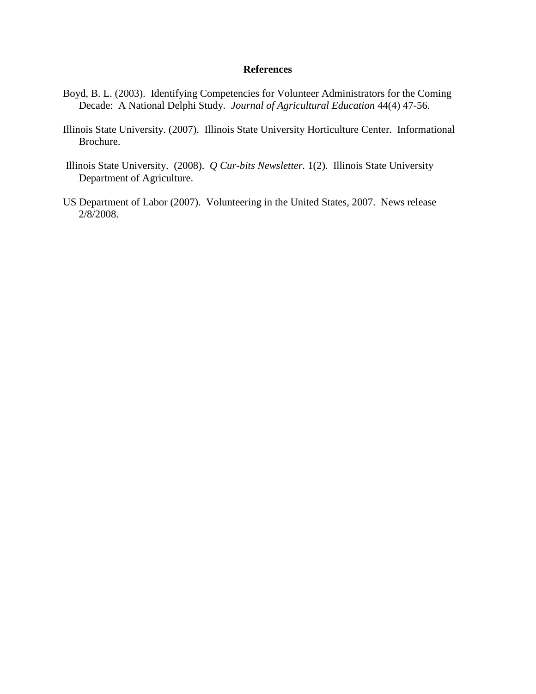- Boyd, B. L. (2003). Identifying Competencies for Volunteer Administrators for the Coming Decade: A National Delphi Study. *Journal of Agricultural Education* 44(4) 47-56.
- Illinois State University. (2007). Illinois State University Horticulture Center. Informational Brochure.
- Illinois State University. (2008). *Q Cur-bits Newsletter.* 1(2). Illinois State University Department of Agriculture.
- US Department of Labor (2007). Volunteering in the United States, 2007. News release 2/8/2008.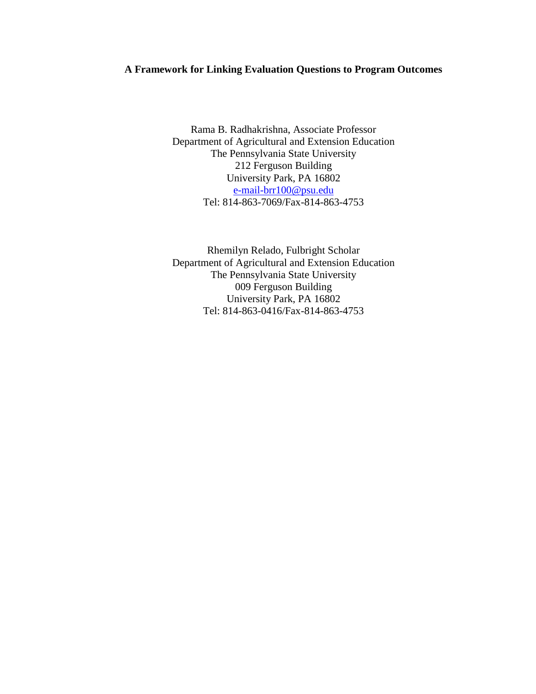## **A Framework for Linking Evaluation Questions to Program Outcomes**

Rama B. Radhakrishna, Associate Professor Department of Agricultural and Extension Education The Pennsylvania State University 212 Ferguson Building University Park, PA 16802 [e-mail-brr100@psu.edu](mailto:e-mail-brr100@psu.edu) Tel: 814-863-7069/Fax-814-863-4753

Rhemilyn Relado, Fulbright Scholar Department of Agricultural and Extension Education The Pennsylvania State University 009 Ferguson Building University Park, PA 16802 Tel: 814-863-0416/Fax-814-863-4753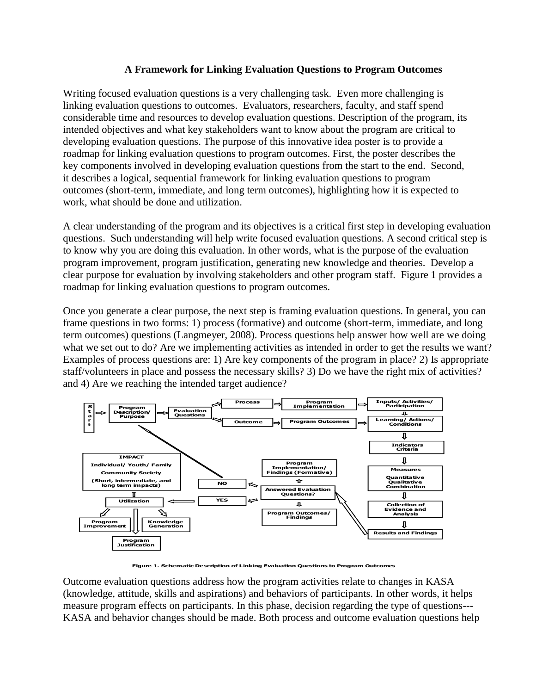## **A Framework for Linking Evaluation Questions to Program Outcomes**

Writing focused evaluation questions is a very challenging task. Even more challenging is linking evaluation questions to outcomes. Evaluators, researchers, faculty, and staff spend considerable time and resources to develop evaluation questions. Description of the program, its intended objectives and what key stakeholders want to know about the program are critical to developing evaluation questions. The purpose of this innovative idea poster is to provide a roadmap for linking evaluation questions to program outcomes. First, the poster describes the key components involved in developing evaluation questions from the start to the end. Second, it describes a logical, sequential framework for linking evaluation questions to program outcomes (short-term, immediate, and long term outcomes), highlighting how it is expected to work, what should be done and utilization.

A clear understanding of the program and its objectives is a critical first step in developing evaluation questions. Such understanding will help write focused evaluation questions. A second critical step is to know why you are doing this evaluation. In other words, what is the purpose of the evaluation program improvement, program justification, generating new knowledge and theories. Develop a clear purpose for evaluation by involving stakeholders and other program staff. Figure 1 provides a roadmap for linking evaluation questions to program outcomes.

Once you generate a clear purpose, the next step is framing evaluation questions. In general, you can frame questions in two forms: 1) process (formative) and outcome (short-term, immediate, and long term outcomes) questions (Langmeyer, 2008). Process questions help answer how well are we doing what we set out to do? Are we implementing activities as intended in order to get the results we want? Examples of process questions are: 1) Are key components of the program in place? 2) Is appropriate staff/volunteers in place and possess the necessary skills? 3) Do we have the right mix of activities? and 4) Are we reaching the intended target audience?



**Figure 1. Schematic Description of Linking Evaluation Questions to Program Outcomes**

Outcome evaluation questions address how the program activities relate to changes in KASA (knowledge, attitude, skills and aspirations) and behaviors of participants. In other words, it helps measure program effects on participants. In this phase, decision regarding the type of questions--- KASA and behavior changes should be made. Both process and outcome evaluation questions help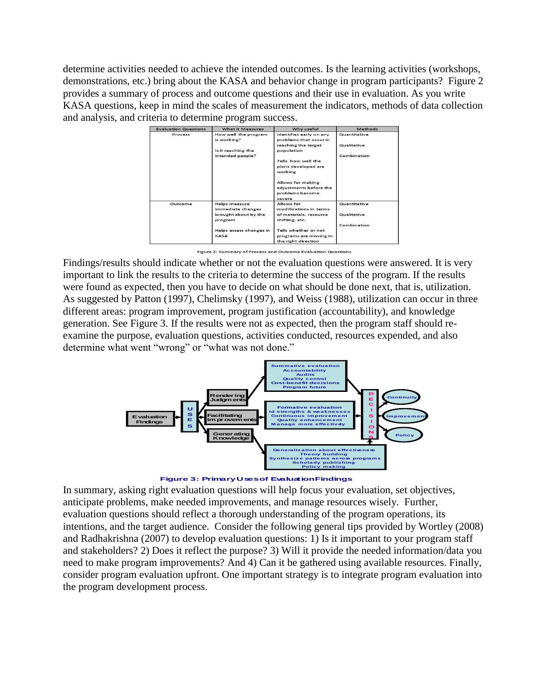determine activities needed to achieve the intended outcomes. Is the learning activities (workshops, demonstrations, etc.) bring about the KASA and behavior change in program participants? Figure 2 provides a summary of process and outcome questions and their use in evaluation. As you write KASA questions, keep in mind the scales of measurement the indicators, methods of data collection and analysis, and criteria to determine program success.

| <b>Evaluation Questions</b> | What it Measures                          | Why useful                                                               | Methods      |
|-----------------------------|-------------------------------------------|--------------------------------------------------------------------------|--------------|
| Process                     | How well the program<br>is working?       | Identifies early on any<br>problems that occur in                        | Quantitative |
|                             | Is it reaching the                        | reaching the target<br>population                                        | Qualitative  |
|                             | intended people?                          |                                                                          | Combination  |
|                             |                                           | Tells how well the                                                       |              |
|                             |                                           | plans developed are<br>working                                           |              |
|                             |                                           | Allows for making<br>adjustments before the<br>problems become<br>severe |              |
| Outcome<br>program<br>KASA  | <b>Helps measure</b><br>immediate changes | Allows for<br>modifications in terms                                     | Quantitative |
|                             | brought about by the                      | of materials, resource<br>shifting, etc.                                 | Qualitative  |
|                             |                                           |                                                                          | Combination  |
|                             | Helps assess changes in                   | Tells whether or not                                                     |              |
|                             |                                           | programs are moving in<br>the right direction                            |              |

Figure 2: Summary of Process and Outcome Evaluation Questions

Findings/results should indicate whether or not the evaluation questions were answered. It is very important to link the results to the criteria to determine the success of the program. If the results were found as expected, then you have to decide on what should be done next, that is, utilization. As suggested by Patton (1997), Chelimsky (1997), and Weiss (1988), utilization can occur in three different areas: program improvement, program justification (accountability), and knowledge generation. See Figure 3. If the results were not as expected, then the program staff should reexamine the purpose, evaluation questions, activities conducted, resources expended, and also determine what went "wrong" or "what was not done."



**Figure 3: Primary Uses of Evaluation Findings**

In summary, asking right evaluation questions will help focus your evaluation, set objectives, anticipate problems, make needed improvements, and manage resources wisely. Further, evaluation questions should reflect a thorough understanding of the program operations, its intentions, and the target audience. Consider the following general tips provided by Wortley (2008) and Radhakrishna (2007) to develop evaluation questions: 1) Is it important to your program staff and stakeholders? 2) Does it reflect the purpose? 3) Will it provide the needed information/data you need to make program improvements? And 4) Can it be gathered using available resources. Finally, consider program evaluation upfront. One important strategy is to integrate program evaluation into the program development process.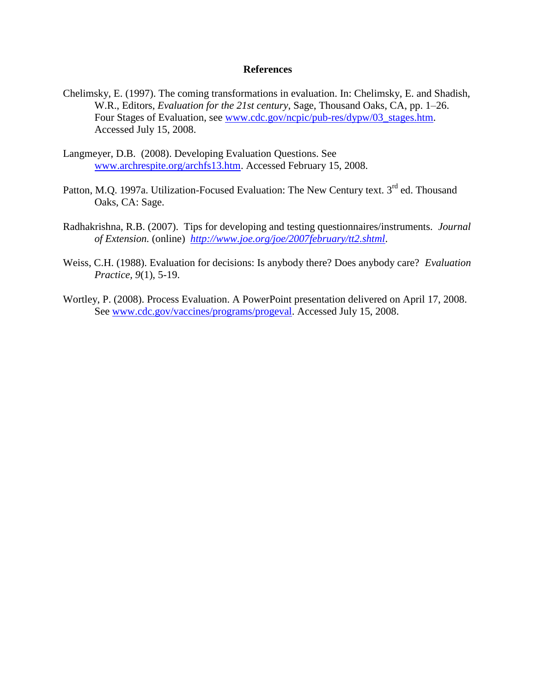- Chelimsky, E. (1997). The coming transformations in evaluation. In: Chelimsky, E. and Shadish, W.R., Editors, *Evaluation for the 21st century*, Sage, Thousand Oaks, CA, pp. 1–26. Four Stages of Evaluation, see [www.cdc.gov/ncpic/pub-res/dypw/03\\_stages.htm.](http://www.cdc.gov/ncpic/pub-res/dypw/03_stages.htm) Accessed July 15, 2008.
- Langmeyer, D.B. (2008). Developing Evaluation Questions. See [www.archrespite.org/archfs13.htm.](http://www.archrespite.org/archfs13.htm) Accessed February 15, 2008.
- Patton, M.O. 1997a. Utilization-Focused Evaluation: The New Century text. 3<sup>rd</sup> ed. Thousand Oaks, CA: Sage.
- Radhakrishna, R.B. (2007). Tips for developing and testing questionnaires/instruments. *Journal of Extension.* (online) *<http://www.joe.org/joe/2007february/tt2.shtml>*.
- Weiss, C.H. (1988). Evaluation for decisions: Is anybody there? Does anybody care? *Evaluation Practice, 9*(1), 5-19.
- Wortley, P. (2008). Process Evaluation. A PowerPoint presentation delivered on April 17, 2008. See [www.cdc.gov/vaccines/programs/progeval.](http://www.cdc.gov/vaccines/programs/progeval) Accessed July 15, 2008.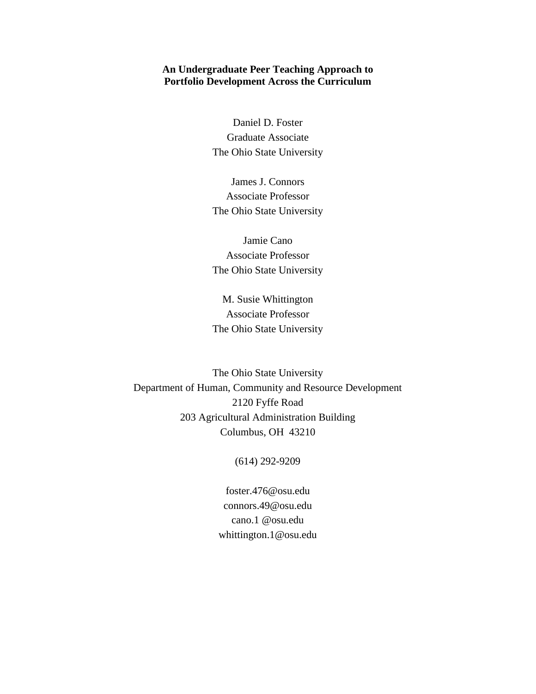### **An Undergraduate Peer Teaching Approach to Portfolio Development Across the Curriculum**

Daniel D. Foster Graduate Associate The Ohio State University

James J. Connors Associate Professor The Ohio State University

Jamie Cano Associate Professor The Ohio State University

M. Susie Whittington Associate Professor The Ohio State University

The Ohio State University Department of Human, Community and Resource Development 2120 Fyffe Road 203 Agricultural Administration Building Columbus, OH 43210

#### (614) 292-9209

foster.476@osu.edu connors.49@osu.edu cano.1 @osu.edu whittington.1@osu.edu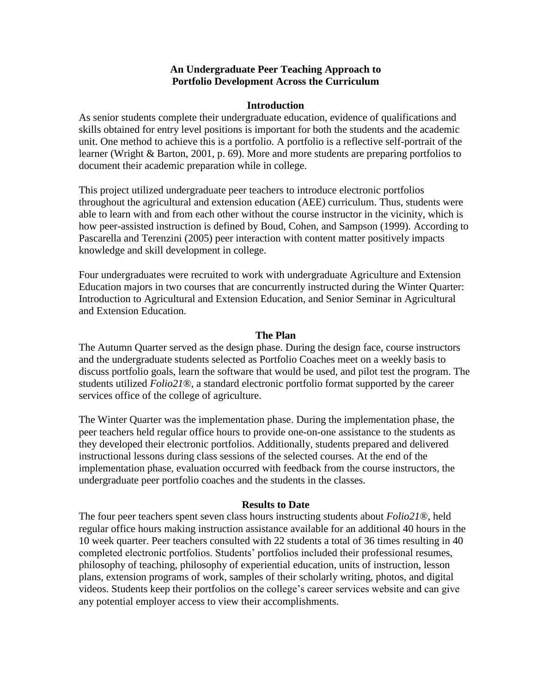### **An Undergraduate Peer Teaching Approach to Portfolio Development Across the Curriculum**

#### **Introduction**

As senior students complete their undergraduate education, evidence of qualifications and skills obtained for entry level positions is important for both the students and the academic unit. One method to achieve this is a portfolio. A portfolio is a reflective self-portrait of the learner (Wright & Barton, 2001, p. 69). More and more students are preparing portfolios to document their academic preparation while in college.

This project utilized undergraduate peer teachers to introduce electronic portfolios throughout the agricultural and extension education (AEE) curriculum. Thus, students were able to learn with and from each other without the course instructor in the vicinity, which is how peer-assisted instruction is defined by Boud, Cohen, and Sampson (1999). According to Pascarella and Terenzini (2005) peer interaction with content matter positively impacts knowledge and skill development in college.

Four undergraduates were recruited to work with undergraduate Agriculture and Extension Education majors in two courses that are concurrently instructed during the Winter Quarter: Introduction to Agricultural and Extension Education, and Senior Seminar in Agricultural and Extension Education.

#### **The Plan**

The Autumn Quarter served as the design phase. During the design face, course instructors and the undergraduate students selected as Portfolio Coaches meet on a weekly basis to discuss portfolio goals, learn the software that would be used, and pilot test the program. The students utilized *Folio21*®, a standard electronic portfolio format supported by the career services office of the college of agriculture.

The Winter Quarter was the implementation phase. During the implementation phase, the peer teachers held regular office hours to provide one-on-one assistance to the students as they developed their electronic portfolios. Additionally, students prepared and delivered instructional lessons during class sessions of the selected courses. At the end of the implementation phase, evaluation occurred with feedback from the course instructors, the undergraduate peer portfolio coaches and the students in the classes.

#### **Results to Date**

The four peer teachers spent seven class hours instructing students about *Folio21*®, held regular office hours making instruction assistance available for an additional 40 hours in the 10 week quarter. Peer teachers consulted with 22 students a total of 36 times resulting in 40 completed electronic portfolios. Students' portfolios included their professional resumes, philosophy of teaching, philosophy of experiential education, units of instruction, lesson plans, extension programs of work, samples of their scholarly writing, photos, and digital videos. Students keep their portfolios on the college's career services website and can give any potential employer access to view their accomplishments.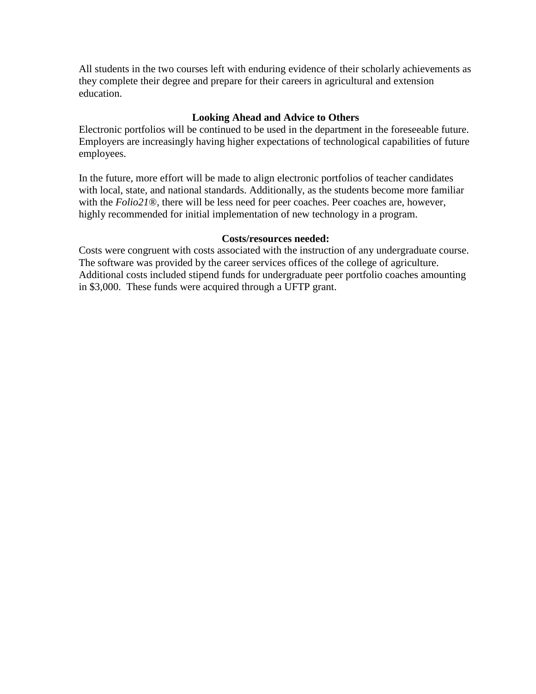All students in the two courses left with enduring evidence of their scholarly achievements as they complete their degree and prepare for their careers in agricultural and extension education.

## **Looking Ahead and Advice to Others**

Electronic portfolios will be continued to be used in the department in the foreseeable future. Employers are increasingly having higher expectations of technological capabilities of future employees.

In the future, more effort will be made to align electronic portfolios of teacher candidates with local, state, and national standards. Additionally, as the students become more familiar with the *Folio21*®, there will be less need for peer coaches. Peer coaches are, however, highly recommended for initial implementation of new technology in a program.

### **Costs/resources needed:**

Costs were congruent with costs associated with the instruction of any undergraduate course. The software was provided by the career services offices of the college of agriculture. Additional costs included stipend funds for undergraduate peer portfolio coaches amounting in \$3,000. These funds were acquired through a UFTP grant.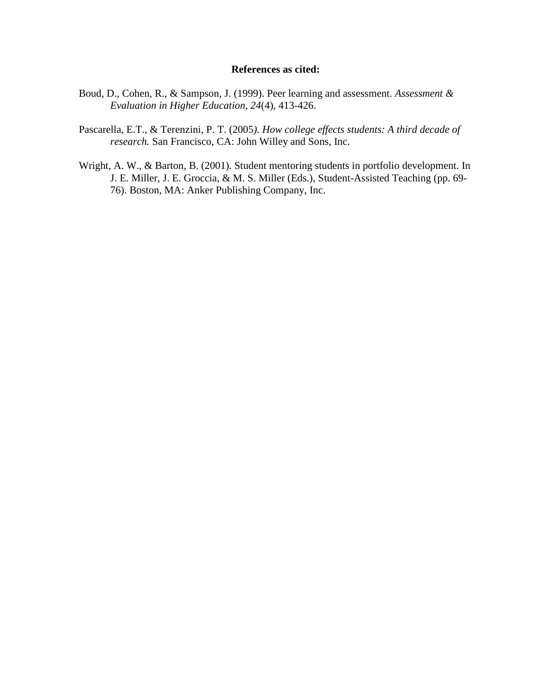#### **References as cited:**

- Boud, D., Cohen, R., & Sampson, J. (1999). Peer learning and assessment. *Assessment & Evaluation in Higher Education, 24*(4), 413-426.
- Pascarella, E.T., & Terenzini, P. T. (2005*). How college effects students: A third decade of research.* San Francisco, CA: John Willey and Sons, Inc.
- Wright, A. W., & Barton, B. (2001). Student mentoring students in portfolio development. In J. E. Miller, J. E. Groccia, & M. S. Miller (Eds.), Student-Assisted Teaching (pp. 69- 76). Boston, MA: Anker Publishing Company, Inc.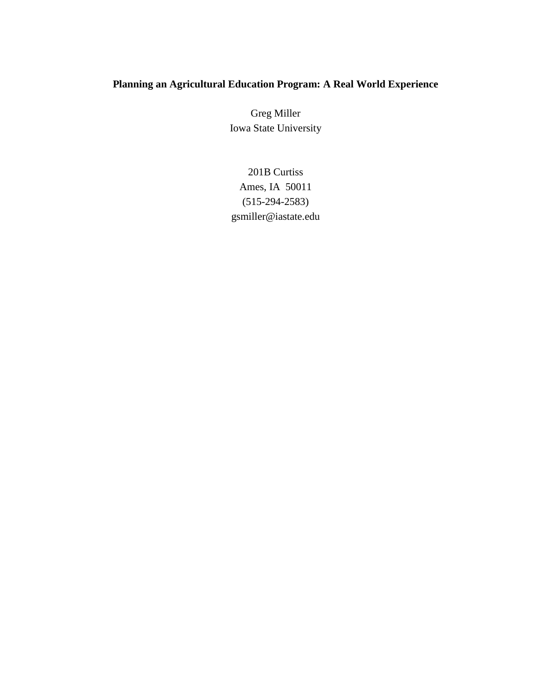# **Planning an Agricultural Education Program: A Real World Experience**

Greg Miller Iowa State University

201B Curtiss Ames, IA 50011 (515-294-2583) gsmiller@iastate.edu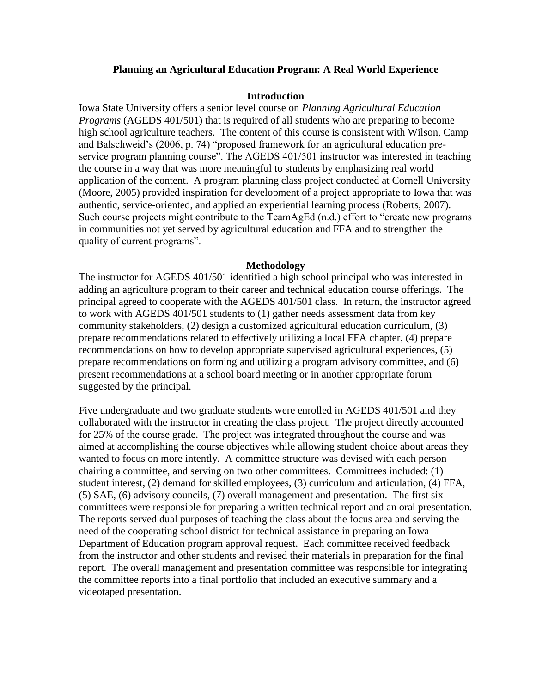### **Planning an Agricultural Education Program: A Real World Experience**

### **Introduction**

Iowa State University offers a senior level course on *Planning Agricultural Education Programs* (AGEDS 401/501) that is required of all students who are preparing to become high school agriculture teachers. The content of this course is consistent with Wilson, Camp and Balschweid's (2006, p. 74) "proposed framework for an agricultural education preservice program planning course". The AGEDS 401/501 instructor was interested in teaching the course in a way that was more meaningful to students by emphasizing real world application of the content. A program planning class project conducted at Cornell University (Moore, 2005) provided inspiration for development of a project appropriate to Iowa that was authentic, service-oriented, and applied an experiential learning process (Roberts, 2007). Such course projects might contribute to the TeamAgEd (n.d.) effort to "create new programs in communities not yet served by agricultural education and FFA and to strengthen the quality of current programs".

### **Methodology**

The instructor for AGEDS 401/501 identified a high school principal who was interested in adding an agriculture program to their career and technical education course offerings. The principal agreed to cooperate with the AGEDS 401/501 class. In return, the instructor agreed to work with AGEDS 401/501 students to (1) gather needs assessment data from key community stakeholders, (2) design a customized agricultural education curriculum, (3) prepare recommendations related to effectively utilizing a local FFA chapter, (4) prepare recommendations on how to develop appropriate supervised agricultural experiences, (5) prepare recommendations on forming and utilizing a program advisory committee, and (6) present recommendations at a school board meeting or in another appropriate forum suggested by the principal.

Five undergraduate and two graduate students were enrolled in AGEDS 401/501 and they collaborated with the instructor in creating the class project. The project directly accounted for 25% of the course grade. The project was integrated throughout the course and was aimed at accomplishing the course objectives while allowing student choice about areas they wanted to focus on more intently. A committee structure was devised with each person chairing a committee, and serving on two other committees. Committees included: (1) student interest, (2) demand for skilled employees, (3) curriculum and articulation, (4) FFA, (5) SAE, (6) advisory councils, (7) overall management and presentation. The first six committees were responsible for preparing a written technical report and an oral presentation. The reports served dual purposes of teaching the class about the focus area and serving the need of the cooperating school district for technical assistance in preparing an Iowa Department of Education program approval request. Each committee received feedback from the instructor and other students and revised their materials in preparation for the final report. The overall management and presentation committee was responsible for integrating the committee reports into a final portfolio that included an executive summary and a videotaped presentation.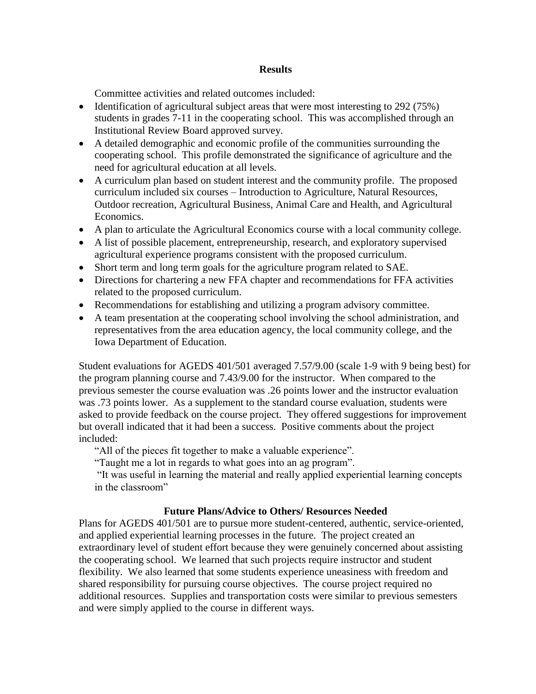### **Results**

Committee activities and related outcomes included:

- Identification of agricultural subject areas that were most interesting to 292 (75%) students in grades 7-11 in the cooperating school. This was accomplished through an Institutional Review Board approved survey.
- A detailed demographic and economic profile of the communities surrounding the cooperating school. This profile demonstrated the significance of agriculture and the need for agricultural education at all levels.
- A curriculum plan based on student interest and the community profile. The proposed curriculum included six courses – Introduction to Agriculture, Natural Resources, Outdoor recreation, Agricultural Business, Animal Care and Health, and Agricultural Economics.
- A plan to articulate the Agricultural Economics course with a local community college.
- A list of possible placement, entrepreneurship, research, and exploratory supervised agricultural experience programs consistent with the proposed curriculum.
- Short term and long term goals for the agriculture program related to SAE.
- Directions for chartering a new FFA chapter and recommendations for FFA activities related to the proposed curriculum.
- Recommendations for establishing and utilizing a program advisory committee.
- A team presentation at the cooperating school involving the school administration, and representatives from the area education agency, the local community college, and the Iowa Department of Education.

Student evaluations for AGEDS 401/501 averaged 7.57/9.00 (scale 1-9 with 9 being best) for the program planning course and 7.43/9.00 for the instructor. When compared to the previous semester the course evaluation was .26 points lower and the instructor evaluation was .73 points lower. As a supplement to the standard course evaluation, students were asked to provide feedback on the course project. They offered suggestions for improvement but overall indicated that it had been a success. Positive comments about the project included:

"All of the pieces fit together to make a valuable experience".

"Taught me a lot in regards to what goes into an ag program".

"It was useful in learning the material and really applied experiential learning concepts in the classroom"

## **Future Plans/Advice to Others/ Resources Needed**

Plans for AGEDS 401/501 are to pursue more student-centered, authentic, service-oriented, and applied experiential learning processes in the future. The project created an extraordinary level of student effort because they were genuinely concerned about assisting the cooperating school. We learned that such projects require instructor and student flexibility. We also learned that some students experience uneasiness with freedom and shared responsibility for pursuing course objectives. The course project required no additional resources. Supplies and transportation costs were similar to previous semesters and were simply applied to the course in different ways.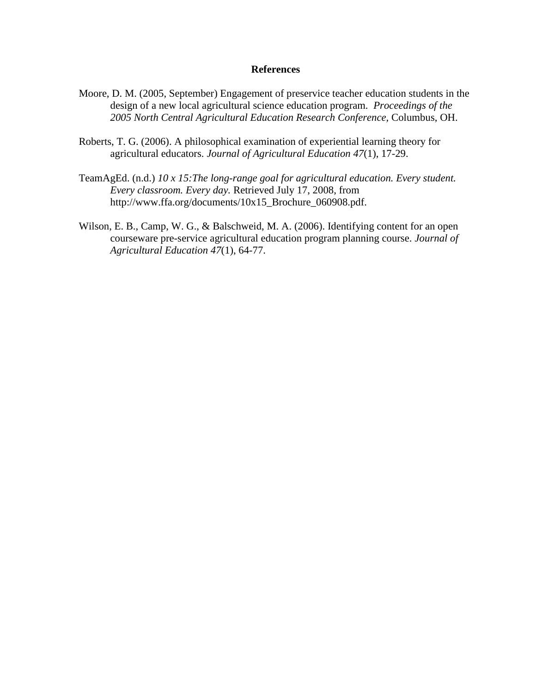- Moore, D. M. (2005, September) Engagement of preservice teacher education students in the design of a new local agricultural science education program. *Proceedings of the 2005 North Central Agricultural Education Research Conference,* Columbus, OH.
- Roberts, T. G. (2006). A philosophical examination of experiential learning theory for agricultural educators. *Journal of Agricultural Education 47*(1), 17-29.
- TeamAgEd. (n.d.) *10 x 15:The long-range goal for agricultural education. Every student. Every classroom. Every day.* Retrieved July 17, 2008, from http://www.ffa.org/documents/10x15\_Brochure\_060908.pdf.
- Wilson, E. B., Camp, W. G., & Balschweid, M. A. (2006). Identifying content for an open courseware pre-service agricultural education program planning course. *Journal of Agricultural Education 47*(1), 64-77.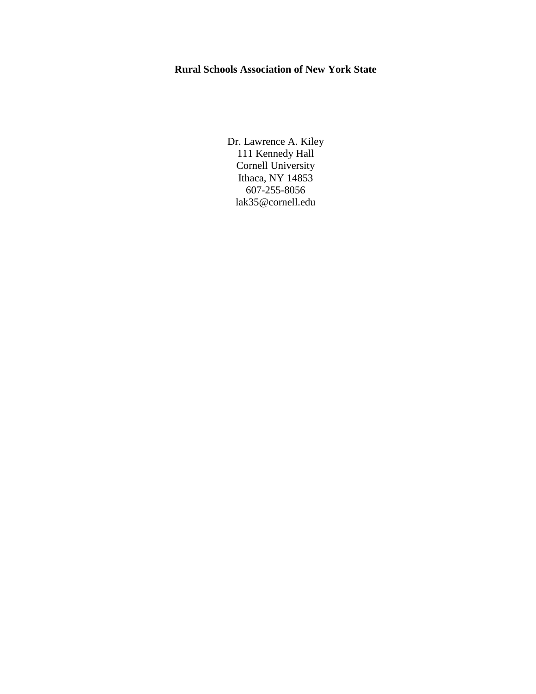# **Rural Schools Association of New York State**

Dr. Lawrence A. Kiley 111 Kennedy Hall Cornell University Ithaca, NY 14853 607-255-8056 lak35@cornell.edu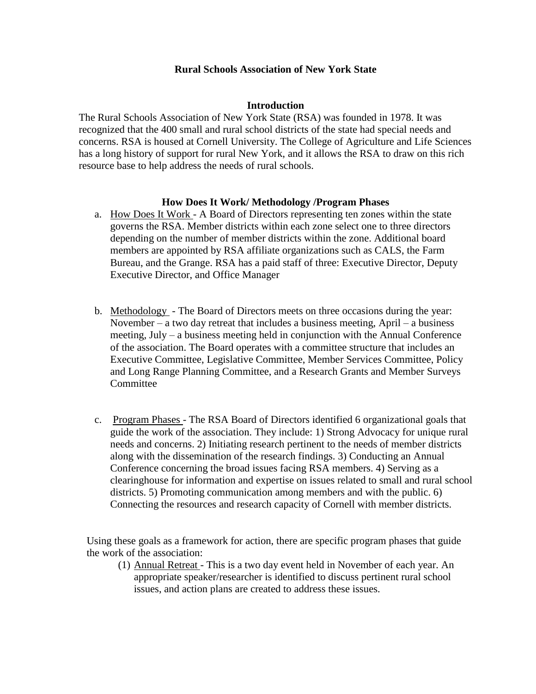### **Rural Schools Association of New York State**

### **Introduction**

The Rural Schools Association of New York State (RSA) was founded in 1978. It was recognized that the 400 small and rural school districts of the state had special needs and concerns. RSA is housed at Cornell University. The College of Agriculture and Life Sciences has a long history of support for rural New York, and it allows the RSA to draw on this rich resource base to help address the needs of rural schools.

### **How Does It Work/ Methodology /Program Phases**

- a. How Does It Work A Board of Directors representing ten zones within the state governs the RSA. Member districts within each zone select one to three directors depending on the number of member districts within the zone. Additional board members are appointed by RSA affiliate organizations such as CALS, the Farm Bureau, and the Grange. RSA has a paid staff of three: Executive Director, Deputy Executive Director, and Office Manager
- b. Methodology The Board of Directors meets on three occasions during the year: November – a two day retreat that includes a business meeting, April – a business meeting, July – a business meeting held in conjunction with the Annual Conference of the association. The Board operates with a committee structure that includes an Executive Committee, Legislative Committee, Member Services Committee, Policy and Long Range Planning Committee, and a Research Grants and Member Surveys **Committee**
- c. Program Phases The RSA Board of Directors identified 6 organizational goals that guide the work of the association. They include: 1) Strong Advocacy for unique rural needs and concerns. 2) Initiating research pertinent to the needs of member districts along with the dissemination of the research findings. 3) Conducting an Annual Conference concerning the broad issues facing RSA members. 4) Serving as a clearinghouse for information and expertise on issues related to small and rural school districts. 5) Promoting communication among members and with the public. 6) Connecting the resources and research capacity of Cornell with member districts.

Using these goals as a framework for action, there are specific program phases that guide the work of the association:

(1) Annual Retreat - This is a two day event held in November of each year. An appropriate speaker/researcher is identified to discuss pertinent rural school issues, and action plans are created to address these issues.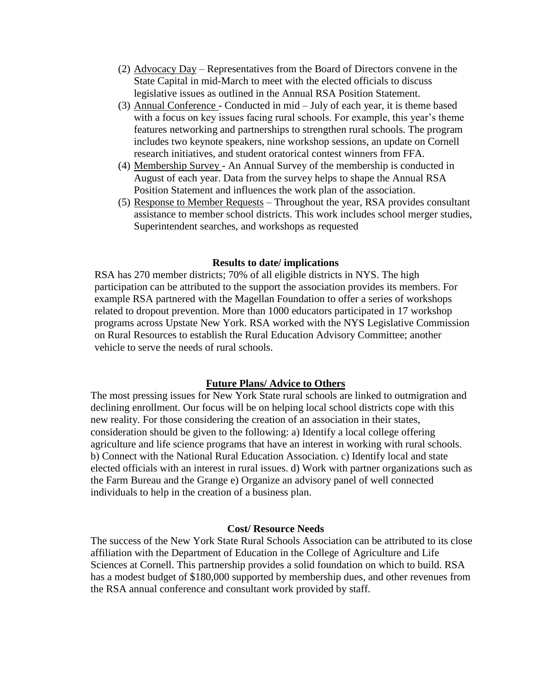- (2) Advocacy Day Representatives from the Board of Directors convene in the State Capital in mid-March to meet with the elected officials to discuss legislative issues as outlined in the Annual RSA Position Statement.
- (3) Annual Conference Conducted in mid July of each year, it is theme based with a focus on key issues facing rural schools. For example, this year's theme features networking and partnerships to strengthen rural schools. The program includes two keynote speakers, nine workshop sessions, an update on Cornell research initiatives, and student oratorical contest winners from FFA.
- (4) Membership Survey An Annual Survey of the membership is conducted in August of each year. Data from the survey helps to shape the Annual RSA Position Statement and influences the work plan of the association.
- (5) Response to Member Requests Throughout the year, RSA provides consultant assistance to member school districts. This work includes school merger studies, Superintendent searches, and workshops as requested

#### **Results to date/ implications**

RSA has 270 member districts; 70% of all eligible districts in NYS. The high participation can be attributed to the support the association provides its members. For example RSA partnered with the Magellan Foundation to offer a series of workshops related to dropout prevention. More than 1000 educators participated in 17 workshop programs across Upstate New York. RSA worked with the NYS Legislative Commission on Rural Resources to establish the Rural Education Advisory Committee; another vehicle to serve the needs of rural schools.

#### **Future Plans/ Advice to Others**

The most pressing issues for New York State rural schools are linked to outmigration and declining enrollment. Our focus will be on helping local school districts cope with this new reality. For those considering the creation of an association in their states, consideration should be given to the following: a) Identify a local college offering agriculture and life science programs that have an interest in working with rural schools. b) Connect with the National Rural Education Association. c) Identify local and state elected officials with an interest in rural issues. d) Work with partner organizations such as the Farm Bureau and the Grange e) Organize an advisory panel of well connected individuals to help in the creation of a business plan.

#### **Cost/ Resource Needs**

The success of the New York State Rural Schools Association can be attributed to its close affiliation with the Department of Education in the College of Agriculture and Life Sciences at Cornell. This partnership provides a solid foundation on which to build. RSA has a modest budget of \$180,000 supported by membership dues, and other revenues from the RSA annual conference and consultant work provided by staff.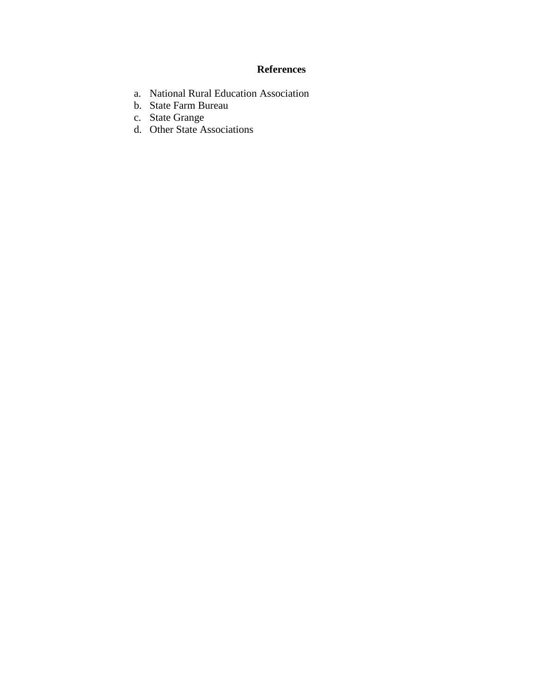- a. National Rural Education Association
- b. State Farm Bureau
- c. State Grange
- d. Other State Associations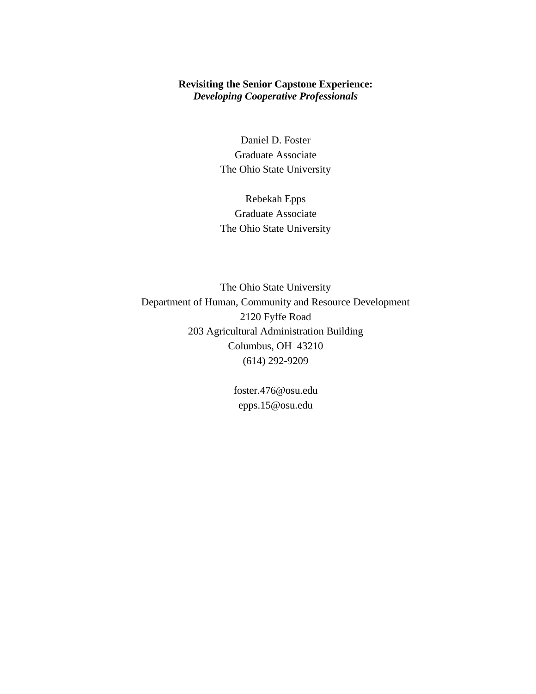## **Revisiting the Senior Capstone Experience:**  *Developing Cooperative Professionals*

Daniel D. Foster Graduate Associate The Ohio State University

Rebekah Epps Graduate Associate The Ohio State University

The Ohio State University Department of Human, Community and Resource Development 2120 Fyffe Road 203 Agricultural Administration Building Columbus, OH 43210 (614) 292-9209

> foster.476@osu.edu epps.15@osu.edu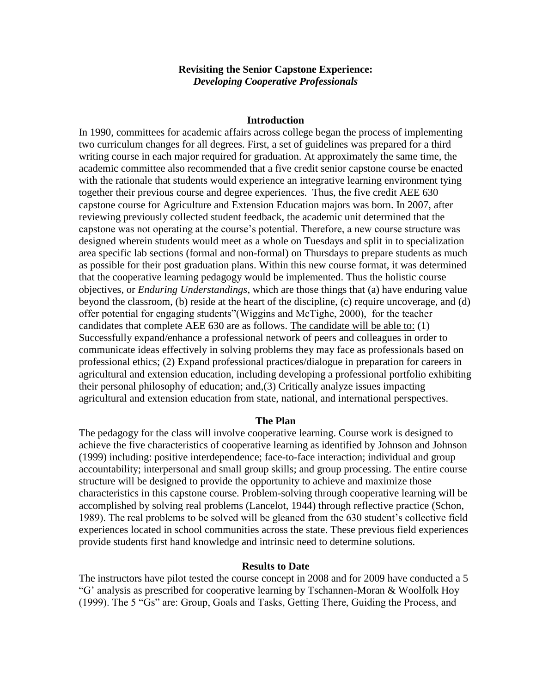### **Revisiting the Senior Capstone Experience:**  *Developing Cooperative Professionals*

#### **Introduction**

In 1990, committees for academic affairs across college began the process of implementing two curriculum changes for all degrees. First, a set of guidelines was prepared for a third writing course in each major required for graduation. At approximately the same time, the academic committee also recommended that a five credit senior capstone course be enacted with the rationale that students would experience an integrative learning environment tying together their previous course and degree experiences. Thus, the five credit AEE 630 capstone course for Agriculture and Extension Education majors was born. In 2007, after reviewing previously collected student feedback, the academic unit determined that the capstone was not operating at the course's potential. Therefore, a new course structure was designed wherein students would meet as a whole on Tuesdays and split in to specialization area specific lab sections (formal and non-formal) on Thursdays to prepare students as much as possible for their post graduation plans. Within this new course format, it was determined that the cooperative learning pedagogy would be implemented. Thus the holistic course objectives, or *Enduring Understandings*, which are those things that (a) have enduring value beyond the classroom, (b) reside at the heart of the discipline, (c) require uncoverage, and (d) offer potential for engaging students"(Wiggins and McTighe, 2000), for the teacher candidates that complete AEE 630 are as follows. The candidate will be able to: (1) Successfully expand/enhance a professional network of peers and colleagues in order to communicate ideas effectively in solving problems they may face as professionals based on professional ethics; (2) Expand professional practices/dialogue in preparation for careers in agricultural and extension education, including developing a professional portfolio exhibiting their personal philosophy of education; and,(3) Critically analyze issues impacting agricultural and extension education from state, national, and international perspectives.

#### **The Plan**

The pedagogy for the class will involve cooperative learning. Course work is designed to achieve the five characteristics of cooperative learning as identified by Johnson and Johnson (1999) including: positive interdependence; face-to-face interaction; individual and group accountability; interpersonal and small group skills; and group processing. The entire course structure will be designed to provide the opportunity to achieve and maximize those characteristics in this capstone course. Problem-solving through cooperative learning will be accomplished by solving real problems (Lancelot, 1944) through reflective practice (Schon, 1989). The real problems to be solved will be gleaned from the 630 student's collective field experiences located in school communities across the state. These previous field experiences provide students first hand knowledge and intrinsic need to determine solutions.

#### **Results to Date**

The instructors have pilot tested the course concept in 2008 and for 2009 have conducted a 5 "G' analysis as prescribed for cooperative learning by Tschannen-Moran & Woolfolk Hoy (1999). The 5 "Gs" are: Group, Goals and Tasks, Getting There, Guiding the Process, and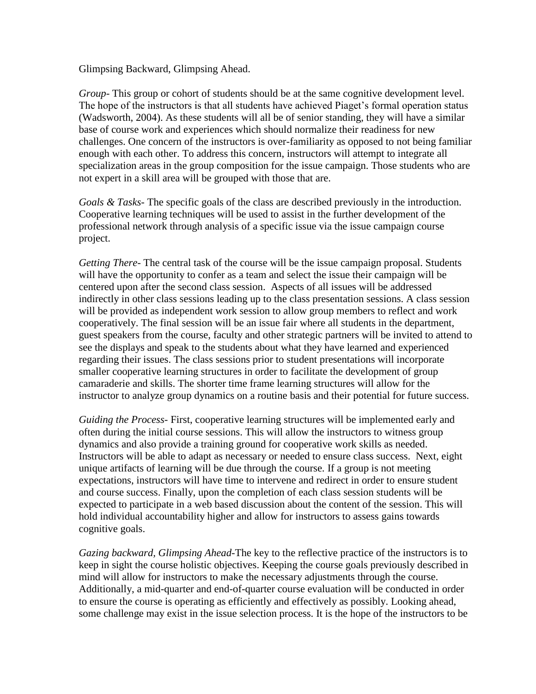Glimpsing Backward, Glimpsing Ahead.

*Group-* This group or cohort of students should be at the same cognitive development level. The hope of the instructors is that all students have achieved Piaget's formal operation status (Wadsworth, 2004). As these students will all be of senior standing, they will have a similar base of course work and experiences which should normalize their readiness for new challenges. One concern of the instructors is over-familiarity as opposed to not being familiar enough with each other. To address this concern, instructors will attempt to integrate all specialization areas in the group composition for the issue campaign. Those students who are not expert in a skill area will be grouped with those that are.

*Goals & Tasks-* The specific goals of the class are described previously in the introduction. Cooperative learning techniques will be used to assist in the further development of the professional network through analysis of a specific issue via the issue campaign course project.

*Getting There-* The central task of the course will be the issue campaign proposal. Students will have the opportunity to confer as a team and select the issue their campaign will be centered upon after the second class session. Aspects of all issues will be addressed indirectly in other class sessions leading up to the class presentation sessions. A class session will be provided as independent work session to allow group members to reflect and work cooperatively. The final session will be an issue fair where all students in the department, guest speakers from the course, faculty and other strategic partners will be invited to attend to see the displays and speak to the students about what they have learned and experienced regarding their issues. The class sessions prior to student presentations will incorporate smaller cooperative learning structures in order to facilitate the development of group camaraderie and skills. The shorter time frame learning structures will allow for the instructor to analyze group dynamics on a routine basis and their potential for future success.

*Guiding the Process-* First, cooperative learning structures will be implemented early and often during the initial course sessions. This will allow the instructors to witness group dynamics and also provide a training ground for cooperative work skills as needed. Instructors will be able to adapt as necessary or needed to ensure class success. Next, eight unique artifacts of learning will be due through the course. If a group is not meeting expectations, instructors will have time to intervene and redirect in order to ensure student and course success. Finally, upon the completion of each class session students will be expected to participate in a web based discussion about the content of the session. This will hold individual accountability higher and allow for instructors to assess gains towards cognitive goals.

*Gazing backward, Glimpsing Ahead-*The key to the reflective practice of the instructors is to keep in sight the course holistic objectives. Keeping the course goals previously described in mind will allow for instructors to make the necessary adjustments through the course. Additionally, a mid-quarter and end-of-quarter course evaluation will be conducted in order to ensure the course is operating as efficiently and effectively as possibly. Looking ahead, some challenge may exist in the issue selection process. It is the hope of the instructors to be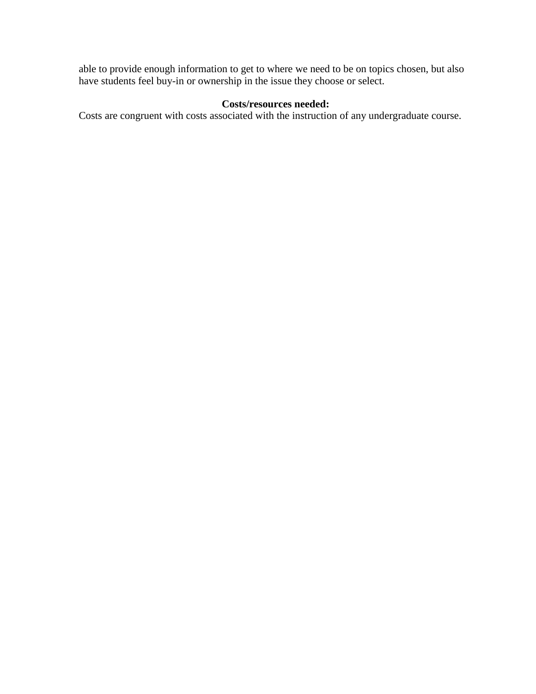able to provide enough information to get to where we need to be on topics chosen, but also have students feel buy-in or ownership in the issue they choose or select.

## **Costs/resources needed:**

Costs are congruent with costs associated with the instruction of any undergraduate course.